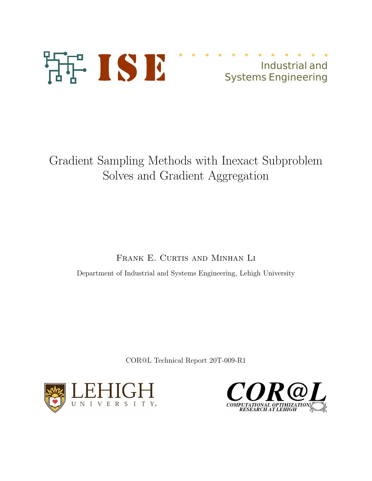

# Industrial and Systems Engineering

Gradient Sampling Methods with Inexact Subproblem Solves and Gradient Aggregation

FRANK E. CURTIS AND MINHAN LI

Department of Industrial and Systems Engineering, Lehigh University

COR@L Technical Report 20T-009-R1



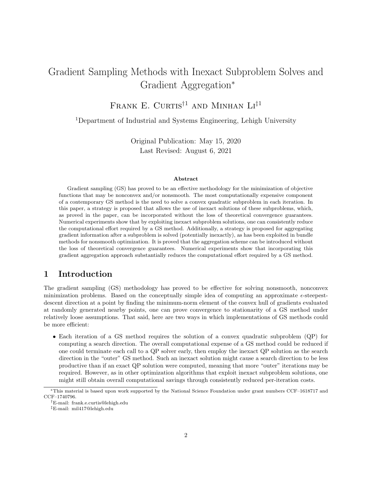## Gradient Sampling Methods with Inexact Subproblem Solves and Gradient Aggregation<sup>∗</sup>

FRANK E. CURTIS<sup>†1</sup> AND MINHAN LI<sup>‡1</sup>

<sup>1</sup>Department of Industrial and Systems Engineering, Lehigh University

Original Publication: May 15, 2020 Last Revised: August 6, 2021

#### Abstract

Gradient sampling (GS) has proved to be an effective methodology for the minimization of objective functions that may be nonconvex and/or nonsmooth. The most computationally expensive component of a contemporary GS method is the need to solve a convex quadratic subproblem in each iteration. In this paper, a strategy is proposed that allows the use of inexact solutions of these subproblems, which, as proved in the paper, can be incorporated without the loss of theoretical convergence guarantees. Numerical experiments show that by exploiting inexact subproblem solutions, one can consistently reduce the computational effort required by a GS method. Additionally, a strategy is proposed for aggregating gradient information after a subproblem is solved (potentially inexactly), as has been exploited in bundle methods for nonsmooth optimization. It is proved that the aggregation scheme can be introduced without the loss of theoretical convergence guarantees. Numerical experiments show that incorporating this gradient aggregation approach substantially reduces the computational effort required by a GS method.

## 1 Introduction

The gradient sampling (GS) methodology has proved to be effective for solving nonsmooth, nonconvex minimization problems. Based on the conceptually simple idea of computing an approximate  $\epsilon$ -steepestdescent direction at a point by finding the minimum-norm element of the convex hull of gradients evaluated at randomly generated nearby points, one can prove convergence to stationarity of a GS method under relatively loose assumptions. That said, here are two ways in which implementations of GS methods could be more efficient:

• Each iteration of a GS method requires the solution of a convex quadratic subproblem (QP) for computing a search direction. The overall computational expense of a GS method could be reduced if one could terminate each call to a QP solver early, then employ the inexact QP solution as the search direction in the "outer" GS method. Such an inexact solution might cause a search direction to be less productive than if an exact QP solution were computed, meaning that more "outer" iterations may be required. However, as in other optimization algorithms that exploit inexact subproblem solutions, one might still obtain overall computational savings through consistently reduced per-iteration costs.

<sup>∗</sup>This material is based upon work supported by the National Science Foundation under grant numbers CCF–1618717 and CCF–1740796.

<sup>†</sup>E-mail: frank.e.curtis@lehigh.edu

<sup>‡</sup>E-mail: mil417@lehigh.edu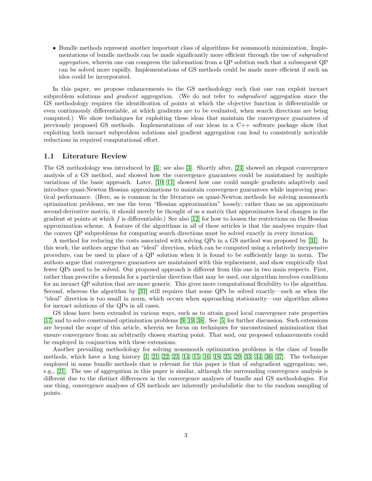• Bundle methods represent another important class of algorithms for nonsmooth minimization. Implementations of bundle methods can be made significantly more efficient through the use of *subgradient* aggregation, wherein one can compress the information from a QP solution such that a subsequent QP can be solved more rapidly. Implementations of GS methods could be made more efficient if such an idea could be incorporated.

In this paper, we propose enhancements to the GS methodology such that one can exploit inexact subproblem solutions and *gradient* aggregation. (We do not refer to *subgradient* aggregation since the GS methodology requires the identification of points at which the objective function is differentiable or even continuously differentiable, at which gradients are to be evaluated, when search directions are being computed.) We show techniques for exploiting these ideas that maintain the convergence guarantees of previously proposed GS methods. Implementations of our ideas in a C++ software package show that exploiting both inexact subproblem solutions and gradient aggregation can lead to consistently noticable reductions in required computational effort.

#### 1.1 Literature Review

The GS methodology was introduced by [\[4\]](#page-20-0); see also [\[3\]](#page-20-1). Shortly after, [\[24\]](#page-21-0) showed an elegant convergence analysis of a GS method, and showed how the convergence guarantees could be maintained by multiple variations of the basic approach. Later, [\[10,](#page-21-1) [11\]](#page-21-2) showed how one could sample gradients adaptively and introduce quasi-Newton Hessian approximations to maintain convergence guarantees while improving practical performance. (Here, as is common in the literature on quasi-Newton methods for solving nonsmooth optimization problems, we use the term "Hessian approximation" loosely; rather than as an approximate second-derivative matrix, it should merely be thought of as a matrix that approximates local changes in the gradient at points at which f is differentiable.) See also [\[12\]](#page-21-3) for how to loosen the restrictions on the Hessian approximation scheme. A feature of the algorithms in all of these articles is that the analyses require that the convex QP subproblems for computing search directions must be solved exactly in every iteration.

A method for reducing the costs associated with solving QPs in a GS method was proposed by [\[31\]](#page-22-0). In this work, the authors argue that an "ideal" direction, which can be computed using a relatively inexpensive procedure, can be used in place of a QP solution when it is found to be sufficiently large in norm. The authors argue that convergence guarantees are maintained with this replacement, and show empirically that fewer QPs need to be solved. Our proposed approach is different from this one in two main respects. First, rather than prescribe a formula for a particular direction that may be used, our algorithm involves conditions for an inexact QP solution that are more generic. This gives more computational flexibility to the algorithm. Second, whereas the algorithm by [\[31\]](#page-22-0) still requires that some QPs be solved exactly—such as when the "ideal" direction is too small in norm, which occurs when approaching stationarity—our algorithm allows for inexact solutions of the QPs in all cases.

GS ideas have been extended in various ways, such as to attain good local convergence rate properties [\[17\]](#page-21-4) and to solve constrained optimization problems [\[9,](#page-21-5) [19,](#page-21-6) [38\]](#page-22-1). See [\[5\]](#page-21-7) for further discussion. Such extensions are beyond the scope of this article, wherein we focus on techniques for unconstrained minimization that ensure convergence from an arbitrarily chosen starting point. That said, our proposed enhancements could be employed in conjunction with these extensions.

Another prevailing methodology for solving nonsmooth optimization problems is the class of bundle methods, which have a long history [\[1,](#page-20-2) [21,](#page-21-8) [22,](#page-21-9) [23,](#page-21-10) [14,](#page-21-11) [15,](#page-21-12) [16,](#page-21-13) [18,](#page-21-14) [25,](#page-22-2) [29,](#page-22-3) [33,](#page-22-4) [34,](#page-22-5) [36,](#page-22-6) [37\]](#page-22-7). The technique employed in some bundle methods that is relevant for this paper is that of subgradient aggregation; see, e.g., [\[21\]](#page-21-8). The use of aggregation in this paper is similar, although the surrounding convergence analysis is different due to the distinct differences in the convergence analyses of bundle and GS methodologies. For one thing, convergence analyses of GS methods are inherently probabilistic due to the random sampling of points.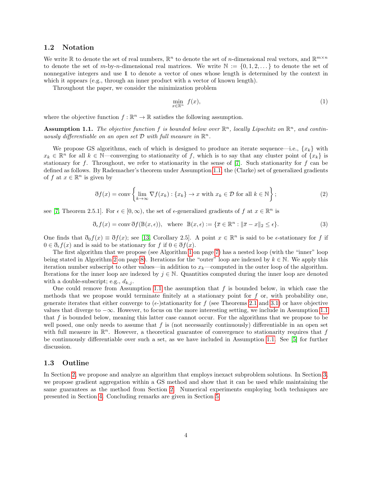#### 1.2 Notation

We write  $\mathbb R$  to denote the set of real numbers,  $\mathbb R^n$  to denote the set of *n*-dimensional real vectors, and  $\mathbb R^{m \times n}$ to denote the set of m-by-n-dimensional real matrices. We write  $\mathbb{N} := \{0, 1, 2, \dots\}$  to denote the set of nonnegative integers and use 1 to denote a vector of ones whose length is determined by the context in which it appears (e.g., through an inner product with a vector of known length).

Throughout the paper, we consider the minimization problem

$$
\min_{x \in \mathbb{R}^n} f(x),\tag{1}
$$

where the objective function  $f : \mathbb{R}^n \to \mathbb{R}$  satisfies the following assumption.

<span id="page-3-0"></span>**Assumption 1.1.** The objective function f is bounded below over  $\mathbb{R}^n$ , locally Lipschitz on  $\mathbb{R}^n$ , and continuously differentiable on an open set  $D$  with full measure in  $\mathbb{R}^n$ .

We propose GS algorithms, each of which is designed to produce an iterate sequence—i.e.,  $\{x_k\}$  with  $x_k \in \mathbb{R}^n$  for all  $k \in \mathbb{N}$ —converging to stationarity of f, which is to say that any cluster point of  $\{x_k\}$  is stationary for f. Throughout, we refer to stationarity in the sense of  $[7]$ . Such stationarity for f can be defined as follows. By Rademacher's theorem under Assumption [1.1,](#page-3-0) the (Clarke) set of generalized gradients of f at  $x \in \mathbb{R}^n$  is given by

$$
\mathfrak{F}f(x) = \text{conv}\left\{\lim_{k \to \infty} \nabla f(x_k) : \{x_k\} \to x \text{ with } x_k \in \mathcal{D} \text{ for all } k \in \mathbb{N}\right\};\tag{2}
$$

see [\[7,](#page-21-15) Theorem 2.5.1]. For  $\epsilon \in [0,\infty)$ , the set of  $\epsilon$ -generalized gradients of f at  $x \in \mathbb{R}^n$  is

$$
\mathfrak{F}_{\epsilon}f(x) = \text{conv }\mathfrak{F}f(\mathbb{B}(x,\epsilon)), \text{ where } \mathbb{B}(x,\epsilon) := \{\overline{x} \in \mathbb{R}^n : \|\overline{x} - x\|_2 \le \epsilon\}. \tag{3}
$$

One finds that  $\mathfrak{d}_0 f(x) \equiv \mathfrak{d} f(x)$ ; see [\[13,](#page-21-16) Corollary 2.5]. A point  $x \in \mathbb{R}^n$  is said to be  $\epsilon$ -stationary for f if  $0 \in \mathfrak{d}_{\epsilon} f(x)$  and is said to be stationary for f if  $0 \in \mathfrak{d} f(x)$ .

The first algorithm that we propose (see Algorithm [1](#page-6-0) on page [7\)](#page-6-0) has a nested loop (with the "inner" loop being stated in Algorithm [2](#page-7-0) on page [8\)](#page-7-0). Iterations for the "outer" loop are indexed by  $k \in \mathbb{N}$ . We apply this iteration number subscript to other values—in addition to  $x_k$ —computed in the outer loop of the algorithm. Iterations for the inner loop are indexed by  $j \in \mathbb{N}$ . Quantities computed during the inner loop are denoted with a double-subscript; e.g.,  $d_{k,i}$ .

One could remove from Assumption [1.1](#page-3-0) the assumption that  $f$  is bounded below, in which case the methods that we propose would terminate finitely at a stationary point for  $f$  or, with probability one. generate iterates that either converge to  $(\epsilon)$ -stationarity for f (see Theorems [2.1](#page-12-0) and [3.1\)](#page-15-0) or have objective values that diverge to  $-\infty$ . However, to focus on the more interesting setting, we include in Assumption [1.1](#page-3-0) that  $f$  is bounded below, meaning this latter case cannot occur. For the algorithms that we propose to be well posed, one only needs to assume that  $f$  is (not necessarily continuously) differentiable in an open set with full measure in  $\mathbb{R}^n$ . However, a theoretical guarantee of convergence to stationarity requires that f be continuously differentiable over such a set, as we have included in Assumption [1.1.](#page-3-0) See [\[5\]](#page-21-7) for further discussion.

#### 1.3 Outline

In Section [2,](#page-4-0) we propose and analyze an algorithm that employs inexact subproblem solutions. In Section [3,](#page-14-0) we propose gradient aggregation within a GS method and show that it can be used while maintaining the same guarantees as the method from Section [2.](#page-4-0) Numerical experiments employing both techniques are presented in Section [4.](#page-16-0) Concluding remarks are given in Section [5.](#page-20-3)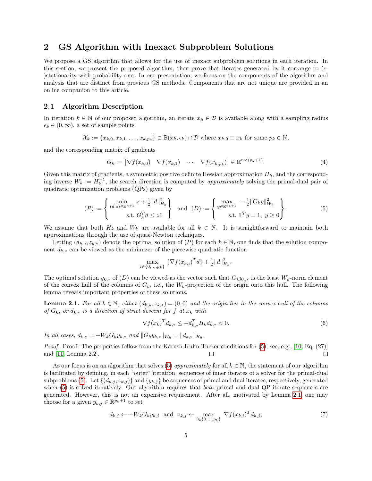## <span id="page-4-0"></span>2 GS Algorithm with Inexact Subproblem Solutions

We propose a GS algorithm that allows for the use of inexact subproblem solutions in each iteration. In this section, we present the proposed algorithm, then prove that iterates generated by it converge to  $(\epsilon$ )stationarity with probability one. In our presentation, we focus on the components of the algorithm and analysis that are distinct from previous GS methods. Components that are not unique are provided in an online companion to this article.

#### 2.1 Algorithm Description

In iteration  $k \in \mathbb{N}$  of our proposed algorithm, an iterate  $x_k \in \mathcal{D}$  is available along with a sampling radius  $\epsilon_k \in (0,\infty)$ , a set of sample points

$$
\mathcal{X}_k := \{x_{k,0}, x_{k,1}, \dots, x_{k,p_k}\} \subset \mathbb{B}(x_k, \epsilon_k) \cap \mathcal{D} \text{ where } x_{k,0} \equiv x_k \text{ for some } p_k \in \mathbb{N},
$$

and the corresponding matrix of gradients

<span id="page-4-5"></span>
$$
G_k := \left[ \nabla f(x_{k,0}) \quad \nabla f(x_{k,1}) \quad \cdots \quad \nabla f(x_{k,p_k}) \right] \in \mathbb{R}^{n \times (p_k+1)}.
$$
 (4)

Given this matrix of gradients, a symmetric positive definite Hessian approximation  $H_k$ , and the corresponding inverse  $W_k := H_k^{-1}$ , the search direction is computed by *approximately* solving the primal-dual pair of quadratic optimization problems (QPs) given by

<span id="page-4-1"></span>
$$
(P) := \begin{cases} \min_{(d,z) \in \mathbb{R}^{n+1}} z + \frac{1}{2} ||d||_{H_k}^2 \\ \text{s.t. } G_k^T d \le z \mathbb{1} \end{cases} \text{ and } (D) := \begin{cases} \max_{y \in \mathbb{R}^{p_k+1}} - \frac{1}{2} ||G_k y||_{W_k}^2 \\ \text{s.t. } \mathbb{1}^T y = 1, \ y \ge 0 \end{cases}.
$$
 (5)

We assume that both  $H_k$  and  $W_k$  are available for all  $k \in \mathbb{N}$ . It is straightforward to maintain both approximations through the use of quasi-Newton techniques.

Letting  $(d_{k,*}, z_{k,*})$  denote the optimal solution of  $(P)$  for each  $k \in \mathbb{N}$ , one finds that the solution component  $d_{k,*}$  can be viewed as the minimizer of the piecewise quadratic function

$$
\max_{i \in \{0, ..., p_k\}} \left\{ \nabla f(x_{k,i})^T d \right\} + \frac{1}{2} \|d\|_{H_k}^2.
$$

The optimal solution  $y_{k,*}$  of  $(D)$  can be viewed as the vector such that  $G_k y_{k,*}$  is the least  $W_k$ -norm element of the convex hull of the columns of  $G_k$ , i.e., the  $W_k$ -projection of the origin onto this hull. The following lemma reveals important properties of these solutions.

<span id="page-4-2"></span>**Lemma 2.1.** For all  $k \in \mathbb{N}$ , either  $(d_{k,*}, z_{k,*}) = (0,0)$  and the origin lies in the convex hull of the columns of  $G_k$ , or  $d_{k,*}$  is a direction of strict descent for f at  $x_k$  with

<span id="page-4-4"></span>
$$
\nabla f(x_k)^T d_{k,*} \le -d_{k,*}^T H_k d_{k,*} < 0.
$$
\n(6)

*In all cases,*  $d_{k,*} = -W_k G_k y_{k,*}$  and  $||G_k y_{k,*}||_{W_k} = ||d_{k,*}||_{H_k}$ .

Proof. Proof. The properties follow from the Karush-Kuhn-Tucker conditions for  $(5)$ ; see, e.g., [\[10,](#page-21-1) Eq.  $(27)$ ] and [\[11,](#page-21-2) Lemma 2.2]. П  $\Box$ 

As our focus is on an algorithm that solves [\(5\)](#page-4-1) approximately for all  $k \in \mathbb{N}$ , the statement of our algorithm is facilitated by defining, in each "outer" iteration, sequences of inner iterates of a solver for the primal-dual subproblems [\(5\)](#page-4-1). Let  $\{(d_{k,j}, z_{k,j})\}$  and  $\{y_{k,j}\}$  be sequences of primal and dual iterates, respectively, generated when [\(5\)](#page-4-1) is solved iteratively. Our algorithm requires that *both* primal and dual QP iterate sequences are generated. However, this is not an expensive requirement. After all, motivated by Lemma [2.1,](#page-4-2) one may choose for a given  $y_{k,j} \in \mathbb{R}^{p_k+1}$  to set

<span id="page-4-3"></span>
$$
d_{k,j} \leftarrow -W_k G_k y_{k,j} \quad \text{and} \quad z_{k,j} \leftarrow \max_{i \in \{0, \dots, p_k\}} \nabla f(x_{k,i})^T d_{k,j},\tag{7}
$$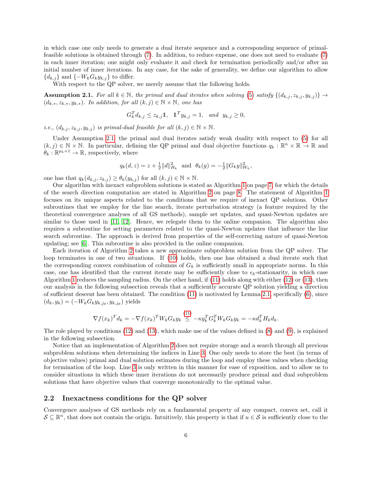in which case one only needs to generate a dual iterate sequence and a corresponding sequence of primalfeasible solutions is obtained through [\(7\)](#page-4-3). In addition, to reduce expense, one does not need to evaluate [\(7\)](#page-4-3) in each inner iteration; one might only evaluate it and check for termination periodically and/or after an initial number of inner iterations. In any case, for the sake of generality, we define our algorithm to allow  ${d_{k,j}}$  and  ${-W_kG_ky_{k,j}}$  to differ.

With respect to the QP solver, we merely assume that the following holds.

<span id="page-5-0"></span>**Assumption 2.1.** For all  $k \in \mathbb{N}$ , the primal and dual iterates when solving [\(5\)](#page-4-1) satisfy  $\{(d_{k,i}, z_{k,i}, y_{k,i})\} \rightarrow$  $(d_{k,*}, z_{k,*}, y_{k,*})$ . In addition, for all  $(k,j) \in \mathbb{N} \times \mathbb{N}$ , one has

$$
G_k^T d_{k,j} \le z_{k,j} \mathbb{1}, \quad \mathbb{1}^T y_{k,j} = 1, \quad and \quad y_{k,j} \ge 0,
$$

i.e.,  $(d_{k,j}, z_{k,j}, y_{k,j})$  is primal-dual feasible for all  $(k, j) \in \mathbb{N} \times \mathbb{N}$ .

Under Assumption [2.1,](#page-5-0) the primal and dual iterates satisfy weak duality with respect to  $(5)$  for all  $(k, j) \in \mathbb{N} \times \mathbb{N}$ . In particular, defining the QP primal and dual objective functions  $q_k : \mathbb{R}^n \times \mathbb{R} \to \mathbb{R}$  and  $\theta_k : \mathbb{R}^{p_k+1} \to \mathbb{R}$ , respectively, where

$$
q_k(d, z) = z + \frac{1}{2} ||d||_{H_k}^2
$$
 and  $\theta_k(y) = -\frac{1}{2} ||G_k y||_{W_k}^2$ ,

one has that  $q_k(d_{k,j}, z_{k,j}) \geq \theta_k(y_{k,j})$  for all  $(k,j) \in \mathbb{N} \times \mathbb{N}$ .

Our algorithm with inexact subproblem solutions is stated as Algorithm [1](#page-6-0) on page [7,](#page-6-0) for which the details of the search direction computation are stated in Algorithm [2](#page-7-0) on page [8.](#page-7-0) The statement of Algorithm [1](#page-6-0) focuses on its unique aspects related to the conditions that we require of inexact QP solutions. Other subroutines that we employ for the line search, iterate perturbation strategy (a feature required by the theoretical convergence analyses of all GS methods), sample set updates, and quasi-Newton updates are similar to those used in [\[11,](#page-21-2) [12\]](#page-21-3). Hence, we relegate them to the online companion. The algorithm also requires a subroutine for setting parameters related to the quasi-Newton updates that influence the line search subroutine. The approach is derived from properties of the self-correcting nature of quasi-Newton updating; see [\[6\]](#page-21-17). This subroutine is also provided in the online companion.

Each iteration of Algorithm [2](#page-7-0) takes a new approximate subproblem solution from the QP solver. The loop terminates in one of two situations. If [\(10\)](#page-7-1) holds, then one has obtained a dual iterate such that the corresponding convex combination of columns of  $G_k$  is sufficiently small in appropriate norms. In this case, one has identified that the current iterate may be sufficiently close to  $\epsilon_k$ -stationarity, in which case Algorithm [1](#page-6-0) reduces the sampling radius. On the other hand, if [\(11\)](#page-7-2) holds along with either [\(12\)](#page-7-3) or [\(13\)](#page-7-4), then our analysis in the following subsection reveals that a sufficiently accurate QP solution yielding a direction of sufficient descent has been obtained. The condition [\(11\)](#page-7-2) is motivated by Lemma [2.1,](#page-4-2) specifically [\(6\)](#page-4-4), since  $(d_k, y_k) = (-W_k G_k y_{k,j_\theta}, y_{k,j_\theta})$  yields

$$
\nabla f(x_k)^T d_k = -\nabla f(x_k)^T W_k G_k y_k \stackrel{(11)}{\leq} -\kappa y_k^T G_k^T W_k G_k y_k = -\kappa d_k^T H_k d_k.
$$

The role played by conditions [\(12\)](#page-7-3) and [\(13\)](#page-7-4), which make use of the values defined in [\(8\)](#page-7-5) and [\(9\)](#page-7-6), is explained in the following subsection.

Notice that an implementation of Algorithm [2](#page-7-0) does not require storage and a search through all previous subproblem solutions when determining the indices in Line [3.](#page-7-5) One only needs to store the best (in terms of objective values) primal and dual solution estimates during the loop and employ these values when checking for termination of the loop. Line [3](#page-7-5) is only written in this manner for ease of exposition, and to allow us to consider situations in which these inner iterations do not necessarily produce primal and dual subproblem solutions that have objective values that converge monotonically to the optimal value.

#### 2.2 Inexactness conditions for the QP solver

Convergence analyses of GS methods rely on a fundamental property of any compact, convex set, call it  $\mathcal{S} \subseteq \mathbb{R}^n$ , that does not contain the origin. Intuitively, this property is that if  $u \in \mathcal{S}$  is sufficiently close to the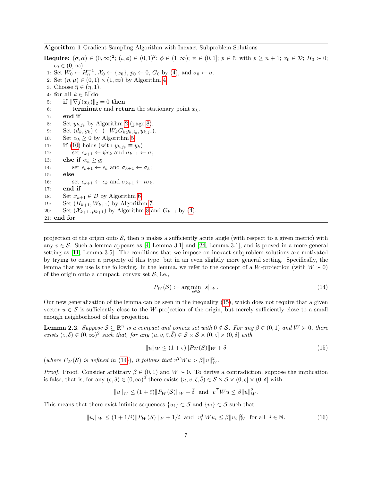<span id="page-6-0"></span>Algorithm 1 Gradient Sampling Algorithm with Inexact Subproblem Solutions

**Require:**  $(\sigma, \underline{\alpha}) \in (0, \infty)^2$ ;  $(\iota, \phi) \in (0, 1)^2$ ;  $\overline{\phi} \in (1, \infty)$ ;  $\psi \in (0, 1]$ ;  $p \in \mathbb{N}$  with  $p \geq n + 1$ ;  $x_0 \in \mathcal{D}$ ;  $H_0 \succ 0$ ;  $\epsilon_0 \in (0,\infty).$ 1: Set  $W_0 \leftarrow H_0^{-1}, \, X_0 \leftarrow \{x_0\}, \, p_0 \leftarrow 0, \, G_0$  by [\(4\)](#page-4-5), and  $\sigma_0 \leftarrow \sigma$ . 2: Set  $(\eta, \mu) \in (0, 1) \times (1, \infty)$  by Algorithm [4.](#page-23-0) 3: Choose  $\overline{\eta} \in (\eta, 1)$ . 4: for all  $k \in \mathbb{N}$  do 5: **if**  $\|\nabla f(x_k)\|_2 = 0$  then 6: terminate and return the stationary point  $x_k$ . 7: end if 8: Set  $y_{k,j_\theta}$  by Algorithm [2](#page-7-0) (page [8\)](#page-7-0). 9: Set  $(d_k, y_k) \leftarrow (-W_k G_k y_{k,j_\theta}, y_{k,j_\theta}).$ 10: Set  $\alpha_k \geq 0$  by Algorithm [5.](#page-24-0) 11: **if** [\(10\)](#page-7-1) holds (with  $y_{k,j_\theta} \equiv y_k$ ) 12: set  $\epsilon_{k+1} \leftarrow \psi \epsilon_k$  and  $\sigma_{k+1} \leftarrow \sigma$ ; 13: else if  $\alpha_k \geq \alpha$ 14: set  $\epsilon_{k+1} \leftarrow \epsilon_k$  and  $\sigma_{k+1} \leftarrow \sigma_k$ ; 15: else 16: set  $\epsilon_{k+1} \leftarrow \epsilon_k$  and  $\sigma_{k+1} \leftarrow \iota \sigma_k$ . 17: end if 18: Set  $x_{k+1} \in \mathcal{D}$  by Algorithm [6.](#page-25-0) 19: Set  $(H_{k+1}, W_{k+1})$  by Algorithm [7.](#page-26-0) 20: Set  $(\mathcal{X}_{k+1}, p_{k+1})$  by Algorithm [8](#page-26-1) and  $G_{k+1}$  by [\(4\)](#page-4-5). 21: end for

projection of the origin onto  $S$ , then u makes a sufficiently acute angle (with respect to a given metric) with any  $v \in \mathcal{S}$ . Such a lemma appears as [\[4,](#page-20-0) Lemma 3.1] and [\[24,](#page-21-0) Lemma 3.1], and is proved in a more general setting as [\[11,](#page-21-2) Lemma 3.5]. The conditions that we impose on inexact subproblem solutions are motivated by trying to ensure a property of this type, but in an even slightly more general setting. Specifically, the lemma that we use is the following. In the lemma, we refer to the concept of a W-projection (with  $W \succ 0$ ) of the origin onto a compact, convex set  $S$ , i.e.,

<span id="page-6-2"></span>
$$
P_W(\mathcal{S}) := \arg\min_{s \in \mathcal{S}} \|s\|_W. \tag{14}
$$

Our new generalization of the lemma can be seen in the inequality [\(15\)](#page-6-1), which does not require that a given vector  $u \in \mathcal{S}$  is sufficiently close to the W-projection of the origin, but merely sufficiently close to a small enough neighborhood of this projection.

<span id="page-6-3"></span>**Lemma 2.2.** Suppose  $S \subseteq \mathbb{R}^n$  is a compact and convex set with  $0 \notin S$ . For any  $\beta \in (0,1)$  and  $W \succ 0$ , there exists  $(\varsigma, \delta) \in (0, \infty)^2$  such that, for any  $(u, v, \overline{\varsigma}, \overline{\delta}) \in \mathcal{S} \times \mathcal{S} \times (0, \varsigma] \times (0, \delta]$  with

<span id="page-6-1"></span>
$$
||u||_{W} \le (1+\varsigma)||P_{W}(S)||_{W} + \delta
$$
\n(15)

(where  $P_W(\mathcal{S})$  is defined in [\(14\)](#page-6-2)), it follows that  $v^T W u > \beta ||u||_W^2$ .

*Proof.* Proof. Consider arbitrary  $\beta \in (0, 1)$  and  $W \succ 0$ . To derive a contradiction, suppose the implication is false, that is, for any  $(\zeta, \delta) \in (0, \infty)^2$  there exists  $(u, v, \overline{\zeta}, \overline{\delta}) \in \mathcal{S} \times \mathcal{S} \times (0, \overline{\zeta}] \times (0, \delta]$  with

$$
||u||_W \le (1+\overline{\varsigma})||P_W(\mathcal{S})||_W + \overline{\delta} \text{ and } v^T W u \le \beta ||u||_W^2.
$$

This means that there exist infinite sequences  $\{u_i\} \subset \mathcal{S}$  and  $\{v_i\} \subset \mathcal{S}$  such that

$$
||u_i||_W \le (1 + 1/i)||P_W(\mathcal{S})||_W + 1/i \text{ and } v_i^T W u_i \le \beta ||u_i||_W^2 \text{ for all } i \in \mathbb{N}.
$$
 (16)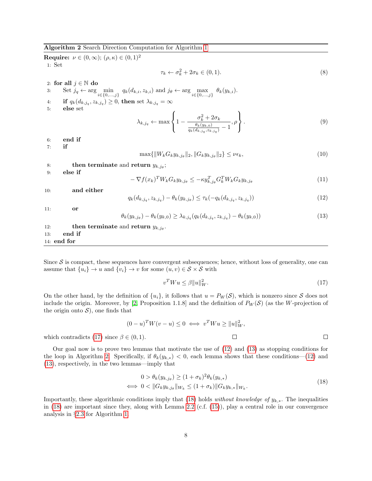<span id="page-7-0"></span>Algorithm 2 Search Direction Computation for Algorithm [1](#page-6-0)

<span id="page-7-6"></span><span id="page-7-5"></span>Require:  $\nu \in (0, \infty)$ ;  $(\rho, \kappa) \in (0, 1)^2$ 1: Set  $\tau_k \leftarrow \sigma_k^2 + 2\sigma_k \in (0, 1).$ (8) 2: for all  $j \in \mathbb{N}$  do 3: Set  $j_q \leftarrow \arg\min_{i \in \{0,\ldots,j\}} q_k(d_{k,i}, z_{k,i})$  and  $j_\theta \leftarrow \arg\max_{i \in \{0,\ldots,j\}} \theta_k(y_{k,i}).$ 4: if  $q_k(d_{k,j_q}, z_{k,j_q}) \geq 0$ , then set  $\lambda_{k,j_q} = \infty$ 5: else set  $\lambda_{k,j_q} \leftarrow \max$  $\sqrt{ }$ J  $\mathcal{L}$  $1 - \frac{\sigma_k^2 + 2\sigma_k}{\sigma_k(\mu_k)}$  $\theta_k(y_{k,0})$  $\frac{\theta_k(y_{k,0})}{q_k(d_{k,j_q},z_{k,j_q})}-1$ , ρ  $\mathcal{L}$  $\mathcal{L}$ J .  $(9)$ 6: end if 7: if  $\max\{\|W_kG_ky_{k,j_\theta}\|_2, \|G_ky_{k,j_\theta}\|_2\} \leq \nu\epsilon_k,$ (10) 8: then terminate and return  $y_{k,j_\theta}$ ; 9: else if  $-\nabla f(x_k)^TW_kG_ky_{k,j_\theta}\leq -\kappa y_{k,j_\theta}^T G_k^TW_kG_ky_{k,j_\theta}$ (11) 10: and either  $q_k(d_{k,j_q}, z_{k,j_q}) - \theta_k(y_{k,j_{\theta}}) \leq \tau_k(-q_k(d_{k,j_q}, z_{k,j_q}))$  $(12)$ 11: or  $\theta_k(y_{k,j_\theta}) - \theta_k(y_{k,0}) \ge \lambda_{k,j_q}(q_k(d_{k,j_q}, z_{k,j_q}) - \theta_k(y_{k,0}))$ (13) 12: **then terminate** and **return**  $y_{k,j_\theta}$ . 13: end if 14: end for

Since  $S$  is compact, these sequences have convergent subsequences; hence, without loss of generality, one can assume that  $\{u_i\} \to u$  and  $\{v_i\} \to v$  for some  $(u, v) \in S \times S$  with

<span id="page-7-7"></span><span id="page-7-4"></span><span id="page-7-3"></span><span id="page-7-2"></span><span id="page-7-1"></span>
$$
v^T W u \le \beta \|u\|_W^2. \tag{17}
$$

On the other hand, by the definition of  $\{u_i\}$ , it follows that  $u = P_W(\mathcal{S})$ , which is nonzero since  $\mathcal S$  does not include the origin. Moreover, by [\[2,](#page-20-4) Proposition 1.1.8] and the definition of  $P_W(\mathcal{S})$  (as the W-projection of the origin onto  $S$ , one finds that

$$
(0-u)^T W(v-u) \le 0 \iff v^T W u \ge ||u||_W^2,
$$
  
\n
$$
\in (0,1).
$$

which contradicts [\(17\)](#page-7-7) since  $\beta$ 

Our goal now is to prove two lemmas that motivate the use of [\(12\)](#page-7-3) and [\(13\)](#page-7-4) as stopping conditions for the loop in Algorithm [2.](#page-7-0) Specifically, if  $\theta_k(y_{k,*}) < 0$ , each lemma shows that these conditions—[\(12\)](#page-7-3) and [\(13\)](#page-7-4), respectively, in the two lemmas—imply that

<span id="page-7-8"></span>
$$
0 > \theta_k(y_{k,j_\theta}) \ge (1 + \sigma_k)^2 \theta_k(y_{k,*})
$$
  

$$
\iff 0 < ||G_k y_{k,j_\theta}||_{W_k} \le (1 + \sigma_k) ||G_k y_{k,*}||_{W_k}.
$$
 (18)

<span id="page-7-9"></span>Importantly, these algorithmic conditions imply that [\(18\)](#page-7-8) holds *without knowledge of*  $y_{k,*}$ . The inequalities in  $(18)$  are important since they, along with Lemma [2.2](#page-6-3) (c.f.  $(15)$ ), play a central role in our convergence analysis in §[2.3](#page-9-0) for Algorithm [1.](#page-6-0)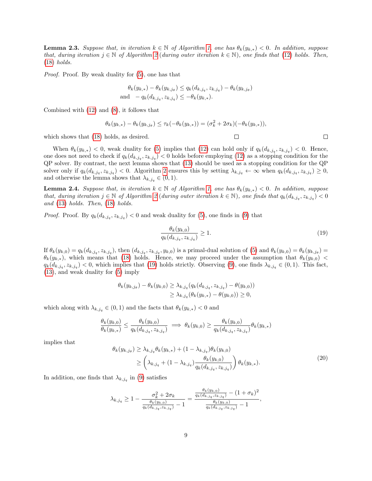**Lemma 2.3.** Suppose that, in iteration  $k \in \mathbb{N}$  of Algorithm [1,](#page-6-0) one has  $\theta_k(y_{k,*}) < 0$ . In addition, suppose that, during iteration  $j \in \mathbb{N}$  of Algorithm [2](#page-7-0) (during outer iteration  $k \in \mathbb{N}$ ), one finds that [\(12\)](#page-7-3) holds. Then, [\(18\)](#page-7-8) holds.

Proof. Proof. By weak duality for [\(5\)](#page-4-1), one has that

$$
\theta_k(y_{k,*}) - \theta_k(y_{k,j_\theta}) \le q_k(d_{k,j_q}, z_{k,j_q}) - \theta_k(y_{k,j_\theta})
$$
  
and  $-q_k(d_{k,j_q}, z_{k,j_q}) \le -\theta_k(y_{k,*}).$ 

Combined with [\(12\)](#page-7-3) and [\(8\)](#page-7-5), it follows that

which shows that  $(18)$ 

$$
\theta_k(y_{k,*}) - \theta_k(y_{k,j_\theta}) \le \tau_k(-\theta_k(y_{k,*})) = (\sigma_k^2 + 2\sigma_k)(-\theta_k(y_{k,*})),
$$
  
holds, as desired.

When  $\theta_k(y_{k,*}) < 0$ , weak duality for [\(5\)](#page-4-1) implies that [\(12\)](#page-7-3) can hold only if  $q_k(d_{k,j_q}, z_{k,j_q}) < 0$ . Hence, one does not need to check if  $q_k(d_{k,j_q}, z_{k,j_q}) < 0$  holds before employing [\(12\)](#page-7-3) as a stopping condition for the QP solver. By contrast, the next lemma shows that [\(13\)](#page-7-4) should be used as a stopping condition for the QP solver only if  $q_k(d_{k,j_q}, z_{k,j_q}) < 0$ . Algorithm [2](#page-7-0) ensures this by setting  $\lambda_{k,j_q} \leftarrow \infty$  when  $q_k(d_{k,j_q}, z_{k,j_q}) \geq 0$ , and otherwise the lemma shows that  $\lambda_{k,j_q} \in (0,1)$ .

<span id="page-8-2"></span>**Lemma 2.4.** Suppose that, in iteration  $k \in \mathbb{N}$  of Algorithm [1,](#page-6-0) one has  $\theta_k(y_{k,*}) < 0$ . In addition, suppose that, during iteration  $j \in \mathbb{N}$  of Algorithm [2](#page-7-0) (during outer iteration  $k \in \mathbb{N}$ ), one finds that  $q_k(d_{k,j_q}, z_{k,j_q}) < 0$ and [\(13\)](#page-7-4) holds. Then, [\(18\)](#page-7-8) holds.

*Proof.* Proof. By  $q_k(d_{k,j_q}, z_{k,j_q}) < 0$  and weak duality for [\(5\)](#page-4-1), one finds in [\(9\)](#page-7-6) that

<span id="page-8-0"></span>
$$
\frac{\theta_k(y_{k,0})}{q_k(d_{k,j_q}, z_{k,j_q})} \ge 1.
$$
\n<sup>(19)</sup>

If  $\theta_k(y_{k,0}) = q_k(d_{k,j_q}, z_{k,j_q})$ , then  $(d_{k,j_q}, z_{k,j_q}, y_{k,0})$  is a primal-dual solution of [\(5\)](#page-4-1) and  $\theta_k(y_{k,0}) = \theta_k(y_{k,j_\theta}) =$  $\theta_k(y_{k,*})$ , which means that [\(18\)](#page-7-8) holds. Hence, we may proceed under the assumption that  $\theta_k(y_{k,0})$  <  $q_k(d_{k,j_q}, z_{k,j_q}) < 0$ , which implies that [\(19\)](#page-8-0) holds strictly. Observing [\(9\)](#page-7-6), one finds  $\lambda_{k,j_q} \in (0,1)$ . This fact, [\(13\)](#page-7-4), and weak duality for [\(5\)](#page-4-1) imply

$$
\theta_k(y_{k,j_\theta}) - \theta_k(y_{k,0}) \geq \lambda_{k,j_q}(q_k(d_{k,j_q}, z_{k,j_q}) - \theta(y_{k,0})) \\ \geq \lambda_{k,j_q}(\theta_k(y_{k,*}) - \theta(y_{k,0})) \geq 0,
$$

which along with  $\lambda_{k,j_q} \in (0,1)$  and the facts that  $\theta_k(y_{k,*}) < 0$  and

$$
\frac{\theta_k(y_{k,0})}{\theta_k(y_{k,*})} \le \frac{\theta_k(y_{k,0})}{q_k(d_{k,j_q}, z_{k,j_q})} \implies \theta_k(y_{k,0}) \ge \frac{\theta_k(y_{k,0})}{q_k(d_{k,j_q}, z_{k,j_q})} \theta_k(y_{k,*})
$$

implies that

<span id="page-8-1"></span>
$$
\theta_k(y_{k,j_\theta}) \geq \lambda_{k,j_q} \theta_k(y_{k,*}) + (1 - \lambda_{k,j_q}) \theta_k(y_{k,0})
$$
\n
$$
\geq \left(\lambda_{k,j_q} + (1 - \lambda_{k,j_q}) \frac{\theta_k(y_{k,0})}{q_k(d_{k,j_q}, z_{k,j_q})}\right) \theta_k(y_{k,*}).
$$
\n(20)

In addition, one finds that  $\lambda_{k,j_q}$  in [\(9\)](#page-7-6) satisfies

$$
\lambda_{k,j_q} \geq 1 - \frac{\sigma_k^2 + 2\sigma_k}{\frac{\theta_k(y_{k,0})}{q_k(d_{k,j_q}, z_{k,j_q})} - 1} = \frac{\frac{\theta_k(y_{k,0})}{q_k(d_{k,j_q}, z_{k,j_q})} - (1 + \sigma_k)^2}{\frac{\theta_k(y_{k,0})}{q_k(d_{k,j_q}, z_{k,j_q})} - 1},
$$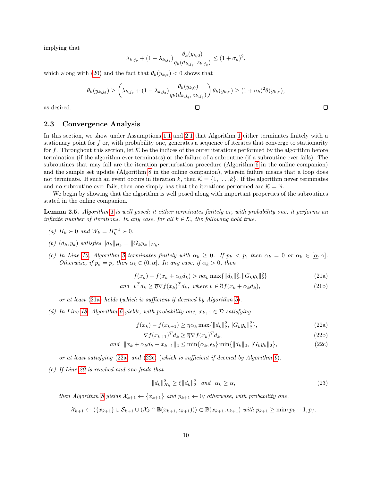implying that

$$
\lambda_{k,j_q} + (1 - \lambda_{k,j_q}) \frac{\theta_k(y_{k,0})}{q_k(d_{k,j_q}, z_{k,j_q})} \le (1 + \sigma_k)^2,
$$

which along with [\(20\)](#page-8-1) and the fact that  $\theta_k(y_{k,*}) < 0$  shows that

$$
\theta_k(y_{k,j_\theta}) \ge \left(\lambda_{k,j_q} + (1-\lambda_{k,j_q})\frac{\theta_k(y_{k,0})}{q_k(d_{k,j_q},z_{k,j_q})}\right)\theta_k(y_{k,*}) \ge (1+\sigma_k)^2\theta(y_{k,*}),
$$

as desired.

#### <span id="page-9-0"></span>2.3 Convergence Analysis

In this section, we show under Assumptions [1.1](#page-3-0) and [2.1](#page-5-0) that Algorithm [1](#page-6-0) either terminates finitely with a stationary point for f or, with probability one, generates a sequence of iterates that converge to stationarity for f. Throughout this section, let K be the indices of the outer iterations performed by the algorithm before termination (if the algorithm ever terminates) or the failure of a subroutine (if a subroutine ever fails). The subroutines that may fail are the iteration perturbation procedure (Algorithm [6](#page-25-0) in the online companion) and the sample set update (Algorithm [8](#page-26-1) in the online companion), wherein failure means that a loop does not terminate. If such an event occurs in iteration k, then  $\mathcal{K} = \{1, \ldots, k\}$ . If the algorithm never terminates and no subroutine ever fails, then one simply has that the iterations performed are  $K = N$ .

We begin by showing that the algorithm is well posed along with important properties of the subroutines stated in the online companion.

<span id="page-9-4"></span>Lemma 2.5. Algorithm [1](#page-6-0) is well posed; it either terminates finitely or, with probability one, it performs an infinite number of iterations. In any case, for all  $k \in \mathcal{K}$ , the following hold true.

- (a)  $H_k \succ 0$  and  $W_k = H_k^{-1} \succ 0$ .
- (b)  $(d_k, y_k)$  satisfies  $||d_k||_{H_k} = ||G_ky_k||_{W_k}$ .
- (c) In Line [10,](#page-6-0) Algorithm [5](#page-24-0) terminates finitely with  $\alpha_k \geq 0$ . If  $p_k < p$ , then  $\alpha_k = 0$  or  $\alpha_k \in [\alpha, \overline{\alpha}]$ . Otherwise, if  $p_k = p$ , then  $\alpha_k \in (0, \overline{\alpha}]$ . In any case, if  $\alpha_k > 0$ , then

<span id="page-9-6"></span><span id="page-9-1"></span>
$$
f(x_k) - f(x_k + \alpha_k d_k) > \underline{\eta} \alpha_k \max\{\|d_k\|_2^2, \|G_k y_k\|_2^2\}
$$
\n(21a)

$$
and \t vT dk \ge \overline{\eta} \nabla f(x_k)^T d_k, \t where \t v \in \eth f(x_k + \alpha_k d_k), \t (21b)
$$

or at least [\(21a\)](#page-9-1) holds (which is sufficient if deemed by Algorithm [5](#page-24-0)).

(d) In Line [18,](#page-6-0) Algorithm [6](#page-25-0) yields, with probability one,  $x_{k+1} \in \mathcal{D}$  satisfying

$$
f(x_k) - f(x_{k+1}) \ge \max\{\|d_k\|_2^2, \|G_k y_k\|_2^2\},\tag{22a}
$$

<span id="page-9-8"></span><span id="page-9-7"></span><span id="page-9-2"></span>
$$
\nabla f(x_{k+1})^T d_k \ge \overline{\eta} \nabla f(x_k)^T d_k,
$$
\n(22b)

$$
and \|x_k + \alpha_k d_k - x_{k+1}\|_2 \le \min\{\alpha_k, \epsilon_k\} \min\{\|d_k\|_2, \|G_k y_k\|_2\},\tag{22c}
$$

or at least satisfying  $(22a)$  and  $(22c)$  (which is sufficient if deemed by Algorithm [6](#page-25-0)).

(e) If Line [20](#page-6-0) is reached and one finds that

<span id="page-9-5"></span><span id="page-9-3"></span>
$$
||d_k||_{H_k}^2 \ge \xi ||d_k||_2^2 \quad and \quad \alpha_k \ge \underline{\alpha}, \tag{23}
$$

then Algorithm [8](#page-26-1) yields  $\mathcal{X}_{k+1} \leftarrow \{x_{k+1}\}\$ and  $p_{k+1} \leftarrow 0$ ; otherwise, with probability one,

$$
\mathcal{X}_{k+1} \leftarrow (\{x_{k+1}\} \cup \mathcal{S}_{k+1} \cup (\mathcal{X}_k \cap \mathbb{B}(x_{k+1}, \epsilon_{k+1}))) \subset \mathbb{B}(x_{k+1}, \epsilon_{k+1}) \text{ with } p_{k+1} \ge \min\{p_k+1, p\}.
$$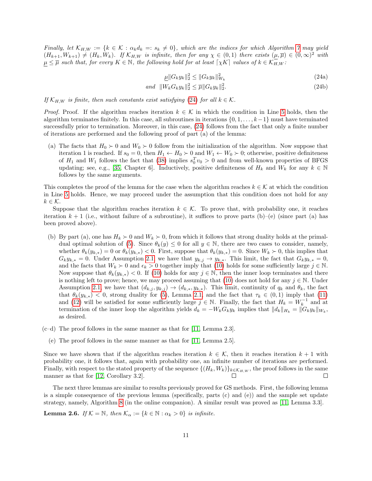Finally, let  $\mathcal{K}_{H,W} := \{k \in \mathcal{K} : \alpha_k d_k =: s_k \neq 0\}$ , which are the indices for which Algorithm [7](#page-26-0) may yield  $(H_{k+1}, W_{k+1}) \neq (H_k, W_k)$ . If  $\mathcal{K}_{H,W}$  is infinite, then for any  $\chi \in (0,1)$  there exists  $(\mu, \overline{\mu}) \in (0,\infty)^2$  with  $\mu \leq \overline{\mu}$  such that, for every  $K \in \mathbb{N}$ , the following hold for at least  $\lceil \chi K \rceil$  values of  $k \in \mathcal{K}_{H,W}^-$ :

<span id="page-10-3"></span><span id="page-10-2"></span><span id="page-10-0"></span>
$$
\underline{\mu} \| G_k y_k \|_2^2 \le \| G_k y_k \|_{W_k}^2 \tag{24a}
$$

$$
and \|W_k G_k y_k\|_2^2 \le \overline{\mu} \|G_k y_k\|_2^2. \tag{24b}
$$

If  $\mathcal{K}_{H,W}$  is finite, then such constants exist satisfying [\(24\)](#page-10-0) for all  $k \in \mathcal{K}$ .

*Proof.* Proof. If the algorithm reaches iteration  $k \in \mathcal{K}$  in which the condition in Line [5](#page-6-0) holds, then the algorithm terminates finitely. In this case, all subroutines in iterations  $\{0, 1, \ldots, k-1\}$  must have terminated successfully prior to termination. Moreover, in this case, [\(24\)](#page-10-0) follows from the fact that only a finite number of iterations are performed and the following proof of part (a) of the lemma:

(a) The facts that  $H_0 \succ 0$  and  $W_0 \succ 0$  follow from the initialization of the algorithm. Now suppose that iteration 1 is reached. If  $s_0 = 0$ , then  $H_1 \leftarrow H_0 \succ 0$  and  $W_1 \leftarrow W_0 \succ 0$ ; otherwise, positive definiteness of  $H_1$  and  $W_1$  follows the fact that [\(38\)](#page-26-2) implies  $s_0^T v_0 > 0$  and from well-known properties of BFGS updating; see, e.g., [\[35,](#page-22-8) Chapter 6]. Inductively, positive definiteness of  $H_k$  and  $W_k$  for any  $k \in \mathbb{N}$ follows by the same arguments.

This completes the proof of the lemma for the case when the algorithm reaches  $k \in \mathcal{K}$  at which the condition in Line [5](#page-6-0) holds. Hence, we may proceed under the assumption that this condition does not hold for any  $k \in \mathcal{K}$ .

Suppose that the algorithm reaches iteration  $k \in \mathcal{K}$ . To prove that, with probability one, it reaches iteration  $k + 1$  (i.e., without failure of a subroutine), it suffices to prove parts (b)–(e) (since part (a) has been proved above).

- (b) By part (a), one has  $H_k \succ 0$  and  $W_k \succ 0$ , from which it follows that strong duality holds at the primal-dual optimal solution of [\(5\)](#page-4-1). Since  $\theta_k(y) \leq 0$  for all  $y \in \mathbb{N}$ , there are two cases to consider, namely, whether  $\theta_k(y_{k,*}) = 0$  or  $\theta_k(y_{k,*}) < 0$ . First, suppose that  $\theta_k(y_{k,*}) = 0$ . Since  $W_k > 0$ , this implies that  $G_k y_{k,*} = 0$ . Under Assumption [2.1,](#page-5-0) we have that  $y_{k,j} \to y_{k,*}$ . This limit, the fact that  $G_k y_{k,*} = 0$ , and the facts that  $W_k \succ 0$  and  $\epsilon_k > 0$  together imply that [\(10\)](#page-7-1) holds for some sufficiently large  $j \in \mathbb{N}$ . Now suppose that  $\theta_k(y_{k,*}) < 0$ . If [\(10\)](#page-7-1) holds for any  $j \in \mathbb{N}$ , then the inner loop terminates and there is nothing left to prove; hence, we may proceed assuming that [\(10\)](#page-7-1) does not hold for any  $j \in \mathbb{N}$ . Under Assumption [2.1,](#page-5-0) we have that  $(d_{k,j}, y_{k,j}) \rightarrow (d_{k,*}, y_{k,*})$ . This limit, continuity of  $q_k$  and  $\theta_k$ , the fact that  $\theta_k(y_{k,*})$  < 0, strong duality for [\(5\)](#page-4-1), Lemma [2.1,](#page-4-2) and the fact that  $\tau_k \in (0,1)$  imply that [\(11\)](#page-7-2) and [\(12\)](#page-7-3) will be satisfied for some sufficiently large  $j \in \mathbb{N}$ . Finally, the fact that  $H_k = W_k^{-1}$  and at termination of the inner loop the algorithm yields  $d_k = -W_k G_k y_k$  implies that  $||d_k||_{H_k} = ||G_k y_k||_{W_k}$ , as desired.
- $(c-d)$  The proof follows in the same manner as that for [\[11,](#page-21-2) Lemma 2.3].
	- (e) The proof follows in the same manner as that for [\[11,](#page-21-2) Lemma 2.5].

Since we have shown that if the algorithm reaches iteration  $k \in \mathcal{K}$ , then it reaches iteration  $k+1$  with probability one, it follows that, again with probability one, an infinite number of iterations are performed. Finally, with respect to the stated property of the sequence  $\{(H_k, W_k)\}_{k \in \mathcal{K}_{H,W}}$ , the proof follows in the same manner as that for [\[12,](#page-21-3) Corollary 3.2].  $\Box$ 

The next three lemmas are similar to results previously proved for GS methods. First, the following lemma is a simple consequence of the previous lemma (specifically, parts (c) and (e)) and the sample set update strategy, namely, Algorithm [8](#page-26-1) (in the online companion). A similar result was proved as [\[11,](#page-21-2) Lemma 3.3].

<span id="page-10-1"></span>**Lemma 2.6.** If  $K = \mathbb{N}$ , then  $\mathcal{K}_{\alpha} := \{k \in \mathbb{N} : \alpha_k > 0\}$  is infinite.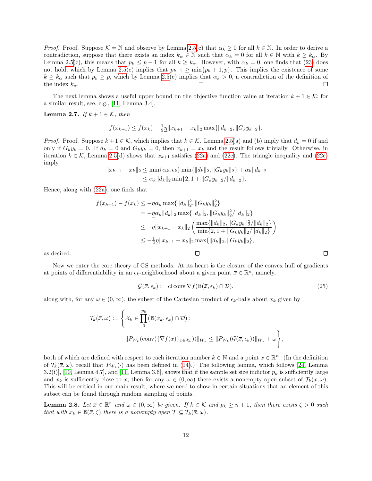*Proof.* Proof. Suppose  $\mathcal{K} = \mathbb{N}$  and observe by Lemma [2.5\(](#page-9-4)c) that  $\alpha_k \geq 0$  for all  $k \in \mathbb{N}$ . In order to derive a contradiction, suppose that there exists an index  $k_{\alpha} \in \mathbb{N}$  such that  $\alpha_k = 0$  for all  $k \in \mathbb{N}$  with  $k \geq k_{\alpha}$ . By Lemma [2.5\(](#page-9-4)c), this means that  $p_k \leq p-1$  for all  $k \geq k_\alpha$ . However, with  $\alpha_k = 0$ , one finds that [\(23\)](#page-9-5) does not hold, which by Lemma [2.5\(](#page-9-4)e) implies that  $p_{k+1} \ge \min\{p_k + 1, p\}$ . This implies the existence of some  $k \geq k_{\alpha}$  such that  $p_k \geq p$ , which by Lemma [2.5\(](#page-9-4)c) implies that  $\alpha_k > 0$ , a contradiction of the definition of the index  $k_{\alpha}$ .  $\Box$ 

The next lemma shows a useful upper bound on the objective function value at iteration  $k + 1 \in \mathcal{K}$ ; for a similar result, see, e.g., [\[11,](#page-21-2) Lemma 3.4].

<span id="page-11-0"></span>Lemma 2.7. If  $k + 1 \in \mathcal{K}$ , then

$$
f(x_{k+1}) \le f(x_k) - \frac{1}{2} \underline{\eta} \| x_{k+1} - x_k \|_2 \max\{ \| d_k \|_2, \| G_k y_k \|_2 \}.
$$

*Proof.* Proof. Suppose  $k + 1 \in \mathcal{K}$ , which implies that  $k \in \mathcal{K}$ . Lemma [2.5\(](#page-9-4)a) and (b) imply that  $d_k = 0$  if and only if  $G_k y_k = 0$ . If  $d_k = 0$  and  $G_k y_k = 0$ , then  $x_{k+1} = x_k$  and the result follows trivially. Otherwise, in iteration  $k \in \mathcal{K}$ , Lemma [2.5\(](#page-9-4)d) shows that  $x_{k+1}$  satisfies [\(22a\)](#page-9-2) and [\(22c\)](#page-9-3). The triangle inequality and (22c) imply

$$
||x_{k+1} - x_k||_2 \le \min{\{\alpha_k, \epsilon_k\}} \min{\{||d_k||_2, ||G_k y_k||_2\}} + \alpha_k ||d_k||_2
$$
  

$$
\le \alpha_k ||d_k||_2 \min{\{2, 1 + ||G_k y_k||_2 / ||d_k||_2\}}.
$$

Hence, along with [\(22a\)](#page-9-2), one finds that

$$
f(x_{k+1}) - f(x_k) \le -\underline{\eta}\alpha_k \max\{\|d_k\|_2^2, \|G_k y_k\|_2^2\}
$$
  
\n
$$
= -\underline{\eta}\alpha_k \|d_k\|_2 \max\{\|d_k\|_2, \|G_k y_k\|_2^2 / \|d_k\|_2\}
$$
  
\n
$$
\le -\underline{\eta}\|x_{k+1} - x_k\|_2 \left(\frac{\max\{\|d_k\|_2, \|G_k y_k\|_2^2 / \|d_k\|_2\}}{\min\{2, 1 + \|G_k y_k\|_2 / \|d_k\|_2\}}\right)
$$
  
\n
$$
\le -\frac{1}{2}\underline{\eta}\|x_{k+1} - x_k\|_2 \max\{\|d_k\|_2, \|G_k y_k\|_2\},
$$

as desired.

Now we enter the core theory of GS methods. At its heart is the closure of the convex hull of gradients at points of differentiability in an  $\epsilon_k$ -neighborhood about a given point  $\bar{x} \in \mathbb{R}^n$ , namely,

$$
\mathcal{G}(\bar{x}, \epsilon_k) := \text{cl conv } \nabla f(\mathbb{B}(\bar{x}, \epsilon_k) \cap \mathcal{D}). \tag{25}
$$

along with, for any  $\omega \in (0,\infty)$ , the subset of the Cartesian product of  $\epsilon_k$ -balls about  $x_k$  given by

$$
\mathcal{T}_{k}(\overline{x},\omega) := \left\{ \mathcal{X}_{k} \in \prod_{0}^{p_{k}} (\mathbb{B}(x_{k}, \epsilon_{k}) \cap \mathcal{D}) : \| P_{W_{k}}(\text{conv}(\{\nabla f(x)\}_{x \in \mathcal{X}_{k}})) \|_{W_{k}} \leq \| P_{W_{k}}(\mathcal{G}(\overline{x}, \epsilon_{k})) \|_{W_{k}} + \omega \right\},\
$$

both of which are defined with respect to each iteration number  $k \in \mathbb{N}$  and a point  $\bar{x} \in \mathbb{R}^n$ . (In the definition of  $\mathcal{T}_k(\bar{x},\omega)$ , recall that  $P_{W_k}(\cdot)$  has been defined in [\(14\)](#page-6-2).) The following lemma, which follows [\[24,](#page-21-0) Lemma 3.2(i)], [\[10,](#page-21-1) Lemma 4.7], and [\[11,](#page-21-2) Lemma 3.6], shows that if the sample set size indictor  $p_k$  is sufficiently large and  $x_k$  is sufficiently close to  $\bar{x}$ , then for any  $\omega \in (0,\infty)$  there exists a nonempty open subset of  $\mathcal{T}_k(\bar{x},\omega)$ . This will be critical in our main result, where we need to show in certain situations that an element of this subset can be found through random sampling of points.

<span id="page-11-1"></span>**Lemma 2.8.** Let  $\bar{x} \in \mathbb{R}^n$  and  $\omega \in (0, \infty)$  be given. If  $k \in \mathcal{K}$  and  $p_k \geq n+1$ , then there exists  $\zeta > 0$  such that with  $x_k \in \mathbb{B}(\bar{x}, \zeta)$  there is a nonempty open  $\mathcal{T} \subseteq \mathcal{T}_k(\bar{x}, \omega)$ .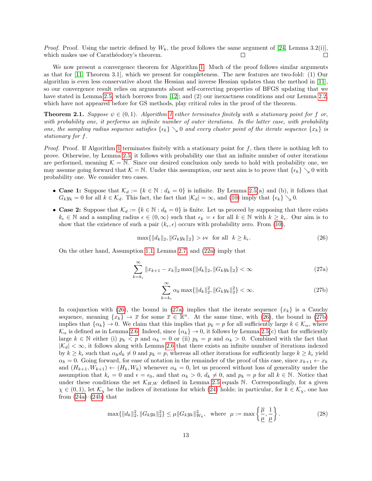*Proof.* Proof. Using the metric defined by  $W_k$ , the proof follows the same argument of [\[24,](#page-21-0) Lemma 3.2(i)], which makes use of Carathéodory's theorem.  $\Box$ П

We now present a convergence theorem for Algorithm [1.](#page-6-0) Much of the proof follows similar arguments as that for [\[11,](#page-21-2) Theorem 3.1], which we present for completeness. The new features are two-fold: (1) Our algorithm is even less conservative about the Hessian and inverse Hessian updates than the method in [\[11\]](#page-21-2), so our convergence result relies on arguments about self-correcting properties of BFGS updating that we have stated in Lemma [2.5,](#page-9-4) which borrows from [\[12\]](#page-21-3); and (2) our inexactness conditions and our Lemma [2.2,](#page-6-3) which have not appeared before for GS methods, play critical roles in the proof of the theorem.

<span id="page-12-0"></span>**Theorem 2.1.** Suppose  $\psi \in (0,1)$ . Algorithm [1](#page-6-0) either terminates finitely with a stationary point for f or, with probability one, it performs an infinite number of outer iterations. In the latter case, with probability one, the sampling radius sequence satisfies  $\{\epsilon_k\} \searrow 0$  and every cluster point of the iterate sequence  $\{x_k\}$  is stationary for f.

*Proof.* Proof. If Algorithm [1](#page-6-0) terminates finitely with a stationary point for  $f$ , then there is nothing left to prove. Otherwise, by Lemma [2.5,](#page-9-4) it follows with probability one that an infinite number of outer iterations are performed, meaning  $\mathcal{K} = \mathbb{N}$ . Since our desired conclusion only needs to hold with probability one, we may assume going forward that  $\mathcal{K} = \mathbb{N}$ . Under this assumption, our next aim is to prove that  $\{\epsilon_k\} \searrow 0$  with probability one. We consider two cases.

- Case 1: Suppose that  $\mathcal{K}_d := \{k \in \mathbb{N} : d_k = 0\}$  is infinite. By Lemma [2.5\(](#page-9-4)a) and (b), it follows that  $G_k y_k = 0$  for all  $k \in \mathcal{K}_d$ . This fact, the fact that  $|\mathcal{K}_d| = \infty$ , and [\(10\)](#page-7-1) imply that  $\{\epsilon_k\} \searrow 0$ .
- Case 2: Suppose that  $\mathcal{K}_d := \{k \in \mathbb{N} : d_k = 0\}$  is finite. Let us proceed by supposing that there exists  $k_{\epsilon} \in \mathbb{N}$  and a sampling radius  $\epsilon \in (0,\infty)$  such that  $\epsilon_k = \epsilon$  for all  $k \in \mathbb{N}$  with  $k \geq k_{\epsilon}$ . Our aim is to show that the existence of such a pair  $(k_{\epsilon}, \epsilon)$  occurs with probability zero. From [\(10\)](#page-7-1),

<span id="page-12-1"></span>
$$
\max\{\|d_k\|_2, \|G_k y_k\|_2\} > \nu\epsilon \quad \text{for all} \quad k \ge k_\epsilon. \tag{26}
$$

On the other hand, Assumption [1.1,](#page-3-0) Lemma [2.7,](#page-11-0) and [\(22a\)](#page-9-2) imply that

$$
\sum_{k=k_{\epsilon}}^{\infty} \|x_{k+1} - x_k\|_2 \max\{\|d_k\|_2, \|G_k y_k\|_2\} < \infty \tag{27a}
$$

<span id="page-12-3"></span><span id="page-12-2"></span>
$$
\sum_{k=k_{\epsilon}}^{\infty} \alpha_k \max\{\|d_k\|_2^2, \|G_k y_k\|_2^2\} < \infty.
$$
 (27b)

In conjunction with [\(26\)](#page-12-1), the bound in [\(27a\)](#page-12-2) implies that the iterate sequence  $\{x_k\}$  is a Cauchy sequence, meaning  $\{x_k\} \to \bar{x}$  for some  $\bar{x} \in \mathbb{R}^n$ . At the same time, with [\(26\)](#page-12-1), the bound in [\(27b\)](#page-12-3) implies that  $\{\alpha_k\} \to 0$ . We claim that this implies that  $p_k = p$  for all sufficiently large  $k \in \mathcal{K}_{\alpha}$ , where  $\mathcal{K}_{\alpha}$  is defined as in Lemma [2.6.](#page-10-1) Indeed, since  $\{\alpha_k\} \to 0$ , it follows by Lemma [2.5\(](#page-9-4)c) that for sufficiently large  $k \in \mathbb{N}$  either (i)  $p_k < p$  and  $\alpha_k = 0$  or (ii)  $p_k = p$  and  $\alpha_k > 0$ . Combined with the fact that  $|\mathcal{K}_d| < \infty$ , it follows along with Lemma [2.6](#page-10-1) that there exists an infinite number of iterations indexed by  $k \geq k_{\epsilon}$  such that  $\alpha_k d_k \neq 0$  and  $p_k = p$ , whereas all other iterations for sufficiently large  $k \geq k_{\epsilon}$  yield  $\alpha_k = 0$ . Going forward, for ease of notation in the remainder of the proof of this case, since  $x_{k+1} \leftarrow x_k$ and  $(H_{k+1}, W_{k+1}) \leftarrow (H_k, W_k)$  whenever  $\alpha_k = 0$ , let us proceed without loss of generality under the assumption that  $k_{\epsilon} = 0$  and  $\epsilon = \epsilon_0$ , and that  $\alpha_k > 0$ ,  $d_k \neq 0$ , and  $p_k = p$  for all  $k \in \mathbb{N}$ . Notice that under these conditions the set  $\mathcal{K}_{H,W}$  defined in Lemma [2.5](#page-9-4) equals N. Correspondingly, for a given  $\chi \in (0,1)$ , let  $\mathcal{K}_{\chi}$  be the indices of iterations for which [\(24\)](#page-10-0) holds; in particular, for  $k \in \mathcal{K}_{\chi}$ , one has from  $(24a)$ – $(24b)$  that

<span id="page-12-4"></span>
$$
\max\{\|d_k\|_2^2, \|G_k y_k\|_2^2\} \le \mu \|G_k y_k\|_{W_k}^2, \text{ where } \mu := \max\left\{\frac{\overline{\mu}}{\underline{\mu}}, \frac{1}{\underline{\mu}}\right\}. \tag{28}
$$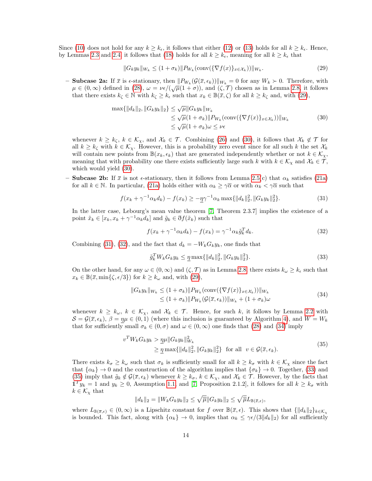Since [\(10\)](#page-7-1) does not hold for any  $k \geq k_{\epsilon}$ , it follows that either [\(12\)](#page-7-3) or [\(13\)](#page-7-4) holds for all  $k \geq k_{\epsilon}$ . Hence, by Lemmas [2.3](#page-7-9) and [2.4,](#page-8-2) it follows that [\(18\)](#page-7-8) holds for all  $k \geq k_{\epsilon}$ , meaning for all  $k \geq k_{\epsilon}$  that

<span id="page-13-0"></span>
$$
||G_k y_k||_{W_k} \le (1 + \sigma_k) ||P_{W_k}(\text{conv}(\{\nabla f(x)\}_{x \in \mathcal{X}_k}))||_{W_k}.
$$
\n(29)

**– Subcase 2a:** If  $\bar{x}$  is  $\epsilon$ -stationary, then  $||P_{W_k}(\mathcal{G}(\bar{x}, \epsilon_k))||_{W_k} = 0$  for any  $W_k \succ 0$ . Therefore, with **Subcase 2a.** If x is e-stationary, then  $||I_{W_k}(y(x, \epsilon_k))||_{W_k} = 0$  for any  $W_k \neq 0$ . Therefore, with  $\mu \in (0, \infty)$  defined in [\(28\)](#page-12-4),  $\omega = \nu \epsilon / (\sqrt{\mu}(1 + \sigma))$ , and  $(\zeta, \mathcal{T})$  chosen as in Lemma [2.8,](#page-11-1) it follows that there exists  $k_{\zeta} \in \mathbb{N}$  with  $k_{\zeta} \geq k_{\epsilon}$  such that  $x_k \in \mathbb{B}(\bar{x}, \zeta)$  for all  $k \geq k_{\zeta}$  and, with [\(29\)](#page-13-0),

<span id="page-13-1"></span>
$$
\max\{\|d_k\|_2, \|G_k y_k\|_2\} \le \sqrt{\mu} \|G_k y_k\|_{W_k}
$$
  
\n
$$
\le \sqrt{\mu} (1 + \sigma_k) \|P_{W_k}(\text{conv}(\{\nabla f(x)\}_{x \in \mathcal{X}_k}))\|_{W_k}
$$
  
\n
$$
\le \sqrt{\mu} (1 + \sigma_k) \omega \le \nu \epsilon
$$
\n(30)

whenever  $k \geq k_{\zeta}$ ,  $k \in \mathcal{K}_{\chi}$ , and  $\mathcal{X}_k \in \mathcal{T}$ . Combining [\(26\)](#page-12-1) and [\(30\)](#page-13-1), it follows that  $\mathcal{X}_k \notin \mathcal{T}$  for all  $k \geq k_{\zeta}$  with  $k \in \mathcal{K}_{\chi}$ . However, this is a probability zero event since for all such k the set  $\mathcal{X}_k$ will contain new points from  $\mathbb{B}(x_k, \epsilon_k)$  that are generated independently whether or not  $k \in \mathcal{K}_{\chi}$ , meaning that with probability one there exists sufficiently large such k with  $k \in \mathcal{K}_{\chi}$  and  $\mathcal{X}_k \in \mathcal{T}$ , which would yield [\(30\)](#page-13-1).

– **Subcase 2b:** If  $\bar{x}$  is not  $\epsilon$ -stationary, then it follows from Lemma [2.5\(](#page-9-4)c) that  $\alpha_k$  satisfies [\(21a\)](#page-9-1) for all  $k \in \mathbb{N}$ . In particular, [\(21a\)](#page-9-1) holds either with  $\alpha_k \geq \gamma \overline{\alpha}$  or with  $\alpha_k < \gamma \overline{\alpha}$  such that

<span id="page-13-2"></span>
$$
f(x_k + \gamma^{-1} \alpha_k d_k) - f(x_k) \ge -\underline{\eta} \gamma^{-1} \alpha_k \max\{||d_k||_2^2, ||G_k y_k||_2^2\}.
$$
 (31)

In the latter case, Lebourg's mean value theorem [\[7,](#page-21-15) Theorem 2.3.7] implies the existence of a point  $\tilde{x}_k \in [x_k, x_k + \gamma^{-1} \alpha_k d_k]$  and  $\tilde{g}_k \in \tilde{\sigma} f(\tilde{x}_k)$  such that

<span id="page-13-3"></span>
$$
f(x_k + \gamma^{-1} \alpha_k d_k) - f(x_k) = \gamma^{-1} \alpha_k \tilde{g}_k^T d_k.
$$
\n(32)

Combining [\(31\)](#page-13-2), [\(32\)](#page-13-3), and the fact that  $d_k = -W_k G_k y_k$ , one finds that

<span id="page-13-5"></span>
$$
\tilde{g}_k^T W_k G_k y_k \le \underline{\eta} \max\{\|d_k\|_2^2, \|G_k y_k\|_2^2\}.
$$
\n(33)

On the other hand, for any  $\omega \in (0,\infty)$  and  $(\zeta,\mathcal{T})$  as in Lemma [2.8,](#page-11-1) there exists  $k_{\omega} \geq k_{\epsilon}$  such that  $x_k \in \mathbb{B}(\bar{x}, \min\{\zeta, \epsilon/3\})$  for  $k \geq k_\omega$  and, with [\(29\)](#page-13-0),

<span id="page-13-4"></span>
$$
||G_k y_k||_{W_k} \le (1 + \sigma_k) ||P_{W_k}(\text{conv}(\{\nabla f(x)\}_{x \in \mathcal{X}_k}))||_{W_k}
$$
  
\n
$$
\le (1 + \sigma_k) ||P_{W_k}(\mathcal{G}(\bar{x}, \epsilon_k))||_{W_k} + (1 + \sigma_k)\omega
$$
\n(34)

whenever  $k \geq k_{\omega}$ ,  $k \in \mathcal{K}_{\chi}$ , and  $\mathcal{X}_k \in \mathcal{T}$ . Hence, for such k, it follows by Lemma [2.2](#page-6-3) with  $S = \mathcal{G}(\bar{x}, \epsilon_k)$ ,  $\beta = \eta \mu \in (0, 1)$  (where this inclusion is guaranteed by Algorithm [4\)](#page-23-0), and  $W = W_k$ that for sufficiently small  $\sigma_k \in (0, \sigma)$  and  $\omega \in (0, \infty)$  one finds that [\(28\)](#page-12-4) and [\(34\)](#page-13-4) imply

<span id="page-13-6"></span>
$$
v^T W_k G_k y_k > \underline{\eta} \mu \| G_k y_k \|_{W_k}^2
$$
  
 
$$
\geq \underline{\eta} \max\{ \| d_k \|_{2}^2, \| G_k y_k \|_{2}^2 \} \text{ for all } v \in \mathcal{G}(\bar{x}, \epsilon_k). \tag{35}
$$

There exists  $k_{\sigma} \geq k_{\omega}$  such that  $\sigma_k$  is sufficiently small for all  $k \geq k_{\sigma}$  with  $k \in \mathcal{K}_{\chi}$  since the fact that  $\{\alpha_k\} \to 0$  and the construction of the algorithm implies that  $\{\sigma_k\} \to 0$ . Together, [\(33\)](#page-13-5) and [\(35\)](#page-13-6) imply that  $\tilde{g}_k \notin \mathcal{G}(\bar{x}, \epsilon_k)$  whenever  $k \geq k_{\sigma}, k \in \mathcal{K}_{\chi}$ , and  $\mathcal{X}_k \in \mathcal{T}$ . However, by the facts that  $1^T y_k = 1$  and  $y_k \ge 0$ , Assumption [1.1,](#page-3-0) and [\[7,](#page-21-15) Proposition 2.1.2], it follows for all  $k \ge k_{\sigma}$  with  $k \in \mathcal{K}_{\chi}$  that

$$
||d_k||_2 = ||W_k G_k y_k||_2 \le \sqrt{\overline{\mu}} ||G_k y_k||_2 \le \sqrt{\overline{\mu}} L_{\mathbb{B}(\overline{x}, \epsilon)},
$$

where  $L_{\mathbb{B}(\bar{x},\epsilon)} \in (0,\infty)$  is a Lipschitz constant for f over  $\mathbb{B}(\bar{x},\epsilon)$ . This shows that  $\{\|d_k\|_2\}_{k\in\mathcal{K}_\chi}$ is bounded. This fact, along with  $\{\alpha_k\} \to 0$ , implies that  $\alpha_k \leq \gamma \epsilon/(3||d_k||_2)$  for all sufficiently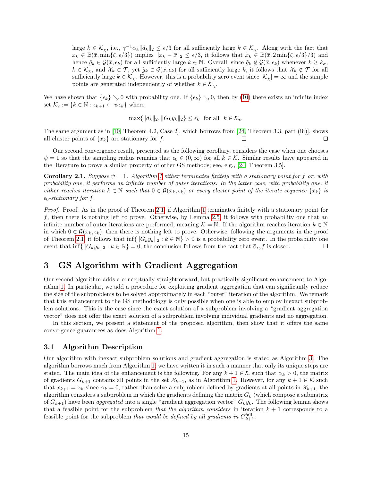large  $k \in \mathcal{K}_{\chi}$ , i.e.,  $\gamma^{-1} \alpha_k ||d_k||_2 \leq \epsilon/3$  for all sufficiently large  $k \in \mathcal{K}_{\chi}$ . Along with the fact that  $x_k \in \mathbb{B}(\bar{x}, \min\{\zeta, \epsilon/3\})$  implies  $||x_k - \bar{x}||_2 \leq \epsilon/3$ , it follows that  $\tilde{x}_k \in \mathbb{B}(\bar{x}, 2 \min\{\zeta, \epsilon/3\}/3)$  and hence  $\tilde{g}_k \in \mathcal{G}(\bar{x}, \epsilon_k)$  for all sufficiently large  $k \in \mathbb{N}$ . Overall, since  $\tilde{g}_k \notin \mathcal{G}(\bar{x}, \epsilon_k)$  whenever  $k \geq k_\sigma$ ,  $k \in \mathcal{K}_{\chi}$ , and  $\mathcal{X}_k \in \mathcal{T}$ , yet  $\tilde{g}_k \in \mathcal{G}(\bar{x}, \epsilon_k)$  for all sufficiently large k, it follows that  $\mathcal{X}_k \notin \mathcal{T}$  for all sufficiently large  $k \in \mathcal{K}_{\chi}$ . However, this is a probability zero event since  $|\mathcal{K}_{\chi}| = \infty$  and the sample points are generated independently of whether  $k \in \mathcal{K}_{\gamma}$ .

We have shown that  $\{\epsilon_k\} \searrow 0$  with probability one. If  $\{\epsilon_k\} \searrow 0$ , then by [\(10\)](#page-7-1) there exists an infinite index set  $\mathcal{K}_{\epsilon} := \{k \in \mathbb{N} : \epsilon_{k+1} \leftarrow \psi \epsilon_k\}$  where

$$
\max\{\|d_k\|_2, \|G_k y_k\|_2\} \le \epsilon_k \quad \text{for all} \quad k \in \mathcal{K}_{\epsilon}.
$$

The same argument as in [\[10,](#page-21-1) Theorem 4.2, Case 2], which borrows from [\[24,](#page-21-0) Theorem 3.3, part (iii)], shows all cluster points of  $\{x_k\}$  are stationary for f. П  $\Box$ 

Our second convergence result, presented as the following corollary, considers the case when one chooses  $\psi = 1$  so that the sampling radius remains that  $\epsilon_0 \in (0, \infty)$  for all  $k \in \mathcal{K}$ . Similar results have appeared in the literature to prove a similar property of other GS methods; see, e.g., [\[24,](#page-21-0) Theorem 3.5].

<span id="page-14-2"></span>**Corollary 2.1.** Suppose  $\psi = 1$  $\psi = 1$ . Algorithm 1 either terminates finitely with a stationary point for f or, with probability one, it performs an infinite number of outer iterations. In the latter case, with probability one, it either reaches iteration  $k \in \mathbb{N}$  such that  $0 \in \mathcal{G}(x_k, \epsilon_k)$  or every cluster point of the iterate sequence  $\{x_k\}$  is  $\epsilon_0$ -stationary for f.

Proof. Proof. As in the proof of Theorem [2.1,](#page-12-0) if Algorithm [1](#page-6-0) terminates finitely with a stationary point for f, then there is nothing left to prove. Otherwise, by Lemma [2.5,](#page-9-4) it follows with probability one that an infinite number of outer iterations are performed, meaning  $\mathcal{K} = \mathbb{N}$ . If the algorithm reaches iteration  $k \in \mathbb{N}$ in which  $0 \in \mathcal{G}(x_k, \epsilon_k)$ , then there is nothing left to prove. Otherwise, following the arguments in the proof of Theorem [2.1,](#page-12-0) it follows that  $\inf\{|G_ky_k\|_2 : k \in \mathbb{N}\}\geq 0$  is a probability zero event. In the probability one event that  $\inf\{\|G_ky_k\|_2 : k \in \mathbb{N}\} = 0$ , the conclusion follows from the fact that  $\mathfrak{d}_{\epsilon_0}f$  is closed.  $\Box$  $\Box$ 

## <span id="page-14-0"></span>3 GS Algorithm with Gradient Aggregation

Our second algorithm adds a conceptually straightforward, but practically significant enhancement to Algorithm [1.](#page-6-0) In particular, we add a procedure for exploiting gradient aggregation that can significantly reduce the size of the subproblems to be solved approximately in each "outer" iteration of the algorithm. We remark that this enhancement to the GS methodology is only possible when one is able to employ inexact subproblem solutions. This is the case since the exact solution of a subproblem involving a "gradient aggregation vector" does not offer the exact solution of a subproblem involving individual gradients and no aggregation.

In this section, we present a statement of the proposed algorithm, then show that it offers the same convergence guarantees as does Algorithm [1.](#page-6-0)

#### 3.1 Algorithm Description

<span id="page-14-1"></span>Our algorithm with inexact subproblem solutions and gradient aggregation is stated as Algorithm [3.](#page-15-1) The algorithm borrows much from Algorithm [1;](#page-6-0) we have written it in such a manner that only its unique steps are stated. The main idea of the enhancement is the following. For any  $k + 1 \in \mathcal{K}$  such that  $\alpha_k > 0$ , the matrix of gradients  $G_{k+1}$  contains all points in the set  $\mathcal{X}_{k+1}$ , as in Algorithm [1.](#page-6-0) However, for any  $k+1 \in \mathcal{K}$  such that  $x_{k+1} = x_k$  since  $\alpha_k = 0$ , rather than solve a subproblem defined by gradients at all points in  $\mathcal{X}_{k+1}$ , the algorithm considers a subproblem in which the gradients defining the matrix  $G_k$  (which compose a submatrix of  $G_{k+1}$ ) have been *aggregated* into a single "gradient aggregation vector"  $G_k y_k$ . The following lemma shows that a feasible point for the subproblem that the algorithm considers in iteration  $k + 1$  corresponds to a feasible point for the subproblem *that would be defined by all gradients in*  $G_{k+1}^{\text{full}}$ .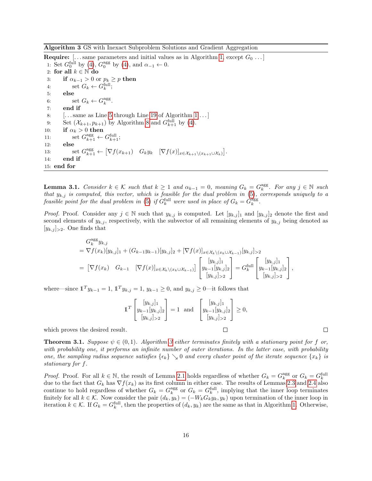<span id="page-15-1"></span>Algorithm 3 GS with Inexact Subproblem Solutions and Gradient Aggregation

**Require:** [...same parameters and initial values as in Algorithm [1,](#page-6-0) except  $G_0 \dots$ ] 1: Set  $G_0^{\text{full}}$  by [\(4\)](#page-4-5),  $G_0^{\text{agg}}$  by (4), and  $\alpha_{-1} \leftarrow 0$ . 2: for all  $k \in \mathbb{N}$  do 3: if  $\alpha_{k-1} > 0$  or  $p_k \geq p$  then 4: set  $G_k \leftarrow G_k^{\text{full}}$ ; 5: else 6: set  $G_k \leftarrow G_k^{\text{agg}}$ . 7: end if 8: [. . . same as Line [5](#page-6-0) through Line [19](#page-6-0) of Algorithm [1](#page-6-0) . . . ] 9: Set  $(\mathcal{X}_{k+1}, p_{k+1})$  by Algorithm [8](#page-26-1) and  $G_{k+1}^{\text{full}}$  by [\(4\)](#page-4-5). 10: if  $\alpha_k > 0$  then 11:  $\qquad \text{set } G_{k+1}^{\text{agg}} \leftarrow G_{k+1}^{\text{full}};$ 12: else 13: set  $G_{k+1}^{\text{agg}} \leftarrow [\nabla f(x_{k+1}) \quad G_k y_k \quad [\nabla f(x)]_{x \in \mathcal{X}_{k+1} \setminus (x_{k+1} \cup \mathcal{X}_k)}].$ 14: end if 15: end for

**Lemma 3.1.** Consider  $k \in \mathcal{K}$  such that  $k \geq 1$  and  $\alpha_{k-1} = 0$ , meaning  $G_k = G_k^{\text{agg}}$ . For any  $j \in \mathbb{N}$  such that  $y_{k,j}$  is computed, this vector, which is feasible for the dual problem in [\(5\)](#page-4-1), corresponds uniquely to a feasible point for the dual problem in [\(5\)](#page-4-1) if  $G_k^{\text{full}}$  were used in place of  $G_k = G_k^{\text{agg}}$ .

*Proof.* Proof. Consider any  $j \in \mathbb{N}$  such that  $y_{k,j}$  is computed. Let  $[y_{k,j}]_1$  and  $[y_{k,j}]_2$  denote the first and second elements of  $y_{k,j}$ , respectively, with the subvector of all remaining elements of  $y_{k,j}$  being denoted as  $[y_{k,j}]_{\geq 2}$ . One finds that

$$
G_k^{\text{agg}} y_{k,j}
$$
  
=  $\nabla f(x_k)[y_{k,j}]_1 + (G_{k-1}y_{k-1})[y_{k,j}]_2 + [\nabla f(x)]_{x \in \mathcal{X}_k \setminus (x_k \cup \mathcal{X}_{k-1})}[y_{k,j}]_{>2}$   
=  $[\nabla f(x_k) \quad G_{k-1} \quad [\nabla f(x)]_{x \in \mathcal{X}_k \setminus (x_k \cup \mathcal{X}_{k-1})}] \left[ \begin{array}{c} [y_{k,j}]_1 \\ y_{k-1}[y_{k,j}]_2 \\ [y_{k,j}]_{>2} \end{array} \right] = G_k^{\text{full}} \left[ \begin{array}{c} [y_{k,j}]_1 \\ y_{k-1}[y_{k,j}]_2 \\ [y_{k,j}]_{>2} \end{array} \right],$ 

where—since  $\mathbb{1}^T y_{k-1} = 1$ ,  $\mathbb{1}^T y_{k,j} = 1$ ,  $y_{k-1} \geq 0$ , and  $y_{k,j} \geq 0$ —it follows that

$$
\mathbb{1}^T \begin{bmatrix} [y_{k,j}]_1 \\ y_{k-1} [y_{k,j}]_2 \\ [y_{k,j}]_{>2} \end{bmatrix} = 1 \text{ and } \begin{bmatrix} [y_{k,j}]_1 \\ y_{k-1} [y_{k,j}]_2 \\ [y_{k,j}]_{>2} \end{bmatrix} \ge 0,
$$

 $\Box$ 

which proves the desired result.

<span id="page-15-0"></span>**Theorem [3](#page-15-1).1.** Suppose  $\psi \in (0,1)$ . Algorithm 3 either terminates finitely with a stationary point for f or, with probability one, it performs an infinite number of outer iterations. In the latter case, with probability one, the sampling radius sequence satisfies  $\{\epsilon_k\} \searrow 0$  and every cluster point of the iterate sequence  $\{x_k\}$  is stationary for f.

*Proof.* Proof. For all  $k \in \mathbb{N}$ , the result of Lemma [2.1](#page-4-2) holds regardless of whether  $G_k = G_k^{\text{agg}}$  or  $G_k = G_k^{\text{full}}$ due to the fact that  $G_k$  has  $\nabla f(x_k)$  as its first column in either case. The results of Lemmas [2.3](#page-7-9) and [2.4](#page-8-2) also continue to hold regardless of whether  $G_k = G_k^{\text{agg}}$  or  $G_k = G_k^{\text{full}}$ , implying that the inner loop terminates finitely for all  $k \in \mathcal{K}$ . Now consider the pair  $(d_k, y_k) = (-W_k G_k y_k, y_k)$  upon termination of the inner loop in iteration  $k \in \mathcal{K}$ . If  $G_k = G_k^{\text{full}}$ , then the properties of  $(d_k, y_k)$  are the same as that in Algorithm [1.](#page-6-0) Otherwise,

 $\Box$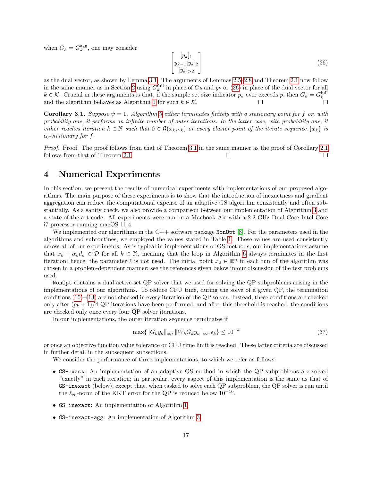when  $G_k = G_k^{\text{agg}}$ , one may consider

<span id="page-16-1"></span>
$$
\begin{bmatrix}\n[y_k]_1 \\
y_{k-1}[y_k]_2 \\
[y_k]_{>2}\n\end{bmatrix}
$$
\n(36)

as the dual vector, as shown by Lemma [3.1.](#page-14-1) The arguments of Lemmas [2.5–](#page-9-4)[2.8](#page-11-1) and Theorem [2.1](#page-12-0) now follow in the same manner as in Section [2](#page-4-0) using  $G_k^{\text{full}}$  in place of  $G_k$  and  $y_k$  or [\(36\)](#page-16-1) in place of the dual vector for all  $k \in \mathcal{K}$ . Crucial in these arguments is that, if the sample set size indicator  $p_k$  ever exceeds p, then  $G_k = G_k^{\text{full}}$ and the algorithm behaves as Algorithm [1](#page-6-0) for such  $k \in \mathcal{K}$ .

**Corollary [3](#page-15-1).1.** Suppose  $\psi = 1$ . Algorithm 3 either terminates finitely with a stationary point for f or, with probability one, it performs an infinite number of outer iterations. In the latter case, with probability one, it either reaches iteration  $k \in \mathbb{N}$  such that  $0 \in \mathcal{G}(x_k, \epsilon_k)$  or every cluster point of the iterate sequence  $\{x_k\}$  is  $\epsilon_0$ -stationary for f.

Proof. Proof. The proof follows from that of Theorem [3.1](#page-15-0) in the same manner as the proof of Corollary [2.1](#page-14-2) follows from that of Theorem [2.1.](#page-12-0)  $\Box$ П

## <span id="page-16-0"></span>4 Numerical Experiments

In this section, we present the results of numerical experiments with implementations of our proposed algorithms. The main purpose of these experiments is to show that the introduction of inexactness and gradient aggregation can reduce the computational expense of an adaptive GS algorithm consistently and often substantially. As a sanity check, we also provide a comparison between our implementation of Algorithm [3](#page-15-1) and a state-of-the-art code. All experiments were run on a Macbook Air with a 2.2 GHz Dual-Core Intel Core i7 processor running macOS 11.4.

We implemented our algorithms in the  $C++$  software package NonOpt [\[8\]](#page-21-18). For the parameters used in the algorithms and subroutines, we employed the values stated in Table [1.](#page-17-0) These values are used consistently across all of our experiments. As is typical in implementations of GS methods, our implementations assume that  $x_k + \alpha_k d_k \in \mathcal{D}$  for all  $k \in \mathbb{N}$ , meaning that the loop in Algorithm [6](#page-25-0) always terminates in the first iteration; hence, the parameter  $\bar{\ell}$  is not used. The initial point  $x_0 \in \mathbb{R}^n$  in each run of the algorithm was chosen in a problem-dependent manner; see the references given below in our discussion of the test problems used.

NonOpt contains a dual active-set QP solver that we used for solving the QP subproblems arising in the implementations of our algorithms. To reduce CPU time, during the solve of a given QP, the termination conditions  $(10)$ – $(13)$  are not checked in every iteration of the QP solver. Instead, these conditions are checked only after  $(p_k + 1)/4$  QP iterations have been performed, and after this threshold is reached, the conditions are checked only once every four QP solver iterations.

In our implementations, the outer iteration sequence terminates if

<span id="page-16-2"></span>
$$
\max\{\|G_k y_k\|_{\infty}, \|W_k G_k y_k\|_{\infty}, \epsilon_k\} \le 10^{-4}
$$
\n
$$
(37)
$$

or once an objective function value tolerance or CPU time limit is reached. These latter criteria are discussed in further detail in the subsequent subsections.

We consider the performance of three implementations, to which we refer as follows:

- GS-exact: An implementation of an adaptive GS method in which the QP subproblems are solved "exactly" in each iteration; in particular, every aspect of this implementation is the same as that of GS-inexact (below), except that, when tasked to solve each QP subproblem, the QP solver is run until the  $\ell_{\infty}$ -norm of the KKT error for the QP is reduced below 10<sup>-10</sup>.
- GS-inexact: An implementation of Algorithm [1.](#page-6-0)
- GS-inexact-agg: An implementation of Algorithm [3.](#page-15-1)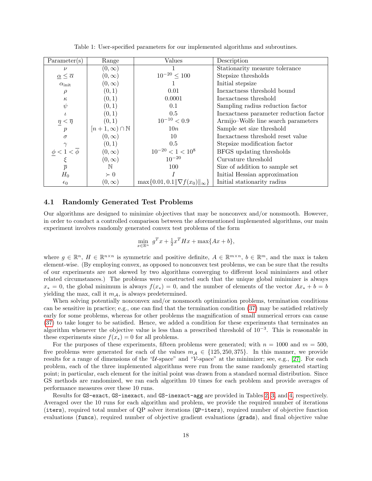<span id="page-17-0"></span>

| Parameter(s)                                | Range                          | Values                                         | Description                            |
|---------------------------------------------|--------------------------------|------------------------------------------------|----------------------------------------|
| $\nu$                                       | $(0,\infty)$                   |                                                | Stationarity measure tolerance         |
| $\underline{\alpha} \leq \overline{\alpha}$ | $(0,\infty)$                   | $10^{-20}\leq 100$                             | Stepsize thresholds                    |
| $\alpha_{\rm init}$                         | $(0,\infty)$                   |                                                | Initial stepsize                       |
| ρ                                           | (0, 1)                         | 0.01                                           | Inexactness threshold bound            |
| $\kappa$                                    | (0,1)                          | 0.0001                                         | Inexactness threshold                  |
| $\psi$                                      | (0,1)                          | 0.1                                            | Sampling radius reduction factor       |
|                                             | (0,1)                          | 0.5                                            | Inexactness parameter reduction factor |
| $\eta < \overline{\eta}$                    | (0,1)                          | $10^{-10} < 0.9$                               | Armijo-Wolfe line search parameters    |
| $\boldsymbol{p}$                            | $[n+1,\infty) \cap \mathbb{N}$ | 10n                                            | Sample set size threshold              |
| $\sigma$                                    | $(0,\infty)$                   | 10                                             | Inexactness threshold reset value      |
|                                             | (0,1)                          | 0.5                                            | Stepsize modification factor           |
| $\langle \bar{\phi}$<br>$\phi < 1$          | $(0,\infty)$                   | $10^{-20} < 1 < 10^8$                          | BFGS updating thresholds               |
|                                             | $(0,\infty)$                   | $10^{-20}$                                     | Curvature threshold                    |
| $\overline{p}$                              | $\mathbb N$                    | 100                                            | Size of addition to sample set         |
| $H_0$                                       | $\succ 0$                      |                                                | Initial Hessian approximation          |
| $\epsilon_0$                                | $(0,\infty)$                   | $\max\{0.01, 0.1\ \nabla f(x_0)\ _{\infty}\}\$ | Initial stationarity radius            |

Table 1: User-specified parameters for our implemented algorithms and subroutines.

#### 4.1 Randomly Generated Test Problems

Our algorithms are designed to minimize objectives that may be nonconvex and/or nonsmooth. However, in order to conduct a controlled comparison between the aforementioned implemented algorithms, our main experiment involves randomly generated convex test problems of the form

$$
\min_{x \in \mathbb{R}^n} g^T x + \frac{1}{2} x^T H x + \max\{Ax + b\},\
$$

where  $g \in \mathbb{R}^n$ ,  $H \in \mathbb{R}^{n \times n}$  is symmetric and positive definite,  $A \in \mathbb{R}^{m \times n}$ ,  $b \in \mathbb{R}^m$ , and the max is taken element-wise. (By employing convex, as opposed to nonconvex test problems, we can be sure that the results of our experiments are not skewed by two algorithms converging to different local minimizers and other related circumstances.) The problems were constructed such that the unique global minimizer is always  $x_* = 0$ , the global minimum is always  $f(x_*) = 0$ , and the number of elements of the vector  $Ax_* + b = b$ yielding the max, call it  $m_A$ , is always predetermined.

When solving potentially nonconvex and/or nonsmooth optimization problems, termination conditions can be sensitive in practice; e.g., one can find that the termination condition [\(37\)](#page-16-2) may be satisfied relatively early for some problems, whereas for other problems the magnification of small numerical errors can cause [\(37\)](#page-16-2) to take longer to be satisfied. Hence, we added a condition for these experiments that terminates an algorithm whenever the objective value is less than a prescribed threshold of  $10^{-3}$ . This is reasonable in these experiments since  $f(x_*) = 0$  for all problems.

For the purposes of these experiments, fifteen problems were generated; with  $n = 1000$  and  $m = 500$ , five problems were generated for each of the values  $m_A \in \{125, 250, 375\}$ . In this manner, we provide results for a range of dimensions of the "U-space" and "V-space" at the minimizer; see, e.g., [\[27\]](#page-22-9). For each problem, each of the three implemented algorithms were run from the same randomly generated starting point; in particular, each element for the initial point was drawn from a standard normal distribution. Since GS methods are randomized, we ran each algorithm 10 times for each problem and provide averages of performance measures over these 10 runs.

Results for GS-exact, GS-inexact, and GS-inexact-agg are provided in Tables [2,](#page-18-0) [3,](#page-18-1) and [4,](#page-19-0) respectively. Averaged over the 10 runs for each algorithm and problem, we provide the required number of iterations (iters), required total number of QP solver iterations (QP-iters), required number of objective function evaluations (funcs), required number of objective gradient evaluations (grads), and final objective value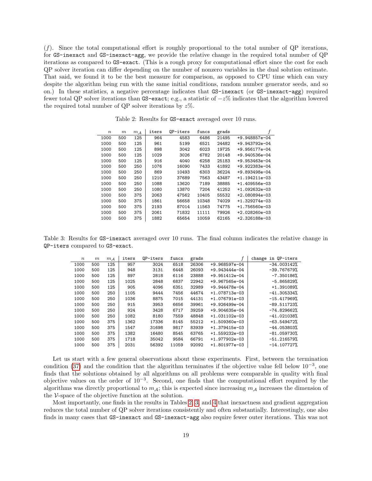(f). Since the total computational effort is roughly proportional to the total number of QP iterations, for GS-inexact and GS-inexact-agg, we provide the relative change in the required total number of QP iterations as compared to GS-exact. (This is a rough proxy for computational effort since the cost for each QP solver iteration can differ depending on the number of nonzero variables in the dual solution estimate. That said, we found it to be the best measure for comparison, as opposed to CPU time which can vary despite the algorithm being run with the same initial conditions, random number generator seeds, and so on.) In these statistics, a negative percentage indicates that GS-inexact (or GS-inexact-agg) required fewer total QP solver iterations than GS-exact; e.g., a statistic of −z% indicates that the algorithm lowered the required total number of QP solver iterations by  $z\%$ .

<span id="page-18-0"></span>

| $\boldsymbol{n}$ | m   | $m_{\mathcal{A}}$ | iters | OP-iters | funcs | grads | f               |
|------------------|-----|-------------------|-------|----------|-------|-------|-----------------|
| 1000             | 500 | 125               | 964   | 4583     | 6486  | 21495 | +9.948857e-04   |
| 1000             | 500 | 125               | 961   | 5199     | 6521  | 24482 | $+9.943792e-04$ |
| 1000             | 500 | 125               | 898   | 3042     | 6023  | 19725 | $+9.956177e-04$ |
| 1000             | 500 | 125               | 1029  | 3026     | 6782  | 20148 | $+9.940536e-04$ |
| 1000             | 500 | 125               | 916   | 4040     | 6258  | 25183 | $+9.953463e-04$ |
| 1000             | 500 | 250               | 1076  | 16090    | 7433  | 41892 | +9.922383e-04   |
| 1000             | 500 | 250               | 869   | 10493    | 6303  | 36224 | +9.893498e-04   |
| 1000             | 500 | 250               | 1210  | 37689    | 7563  | 43487 | $+1.194211e-03$ |
| 1000             | 500 | 250               | 1088  | 13620    | 7189  | 38885 | $+1.409556e-03$ |
| 1000             | 500 | 250               | 1080  | 13870    | 7204  | 41252 | $+1.092632e-03$ |
| 1000             | 500 | 375               | 2063  | 47562    | 10405 | 55532 | $+2.080894e-03$ |
| 1000             | 500 | 375               | 1861  | 56658    | 10348 | 74029 | $+1.329274e-03$ |
| 1000             | 500 | 375               | 2193  | 87014    | 11563 | 74775 | +1.756560e-03   |
| 1000             | 500 | 375               | 2061  | 71832    | 11111 | 79926 | $+2.028260e-03$ |
| 1000             | 500 | 375               | 1882  | 65654    | 10059 | 62165 | $+2.326188e-03$ |

Table 2: Results for GS-exact averaged over 10 runs.

<span id="page-18-1"></span>Table 3: Results for GS-inexact averaged over 10 runs. The final column indicates the relative change in QP-iters compared to GS-exact.

| $\boldsymbol{n}$ | $_{m}$ | $m_A$ | iters | OP-iters | funcs | grads |                 | change in QP-iters |
|------------------|--------|-------|-------|----------|-------|-------|-----------------|--------------------|
| 1000             | 500    | 125   | 957   | 3024     | 6518  | 26306 | +9.968597e-04   | $-34.003142%$      |
| 1000             | 500    | 125   | 948   | 3131     | 6448  | 26093 | $+9.943444e-04$ | $-39.767679%$      |
| 1000             | 500    | 125   | 897   | 2818     | 6116  | 23888 | $+9.951412e-04$ | $-7.350186%$       |
| 1000             | 500    | 125   | 1025  | 2848     | 6837  | 22942 | +9.967565e-04   | $-5.865829%$       |
| 1000             | 500    | 125   | 905   | 4096     | 6351  | 32989 | +9.944478e-04   | +1.391089%         |
| 1000             | 500    | 250   | 1105  | 9444     | 7456  | 44674 | +1.078713e-03   | $-41.305334%$      |
| 1000             | 500    | 250   | 1036  | 8875     | 7015  | 44131 | +1.076791e-03   | $-15.417969%$      |
| 1000             | 500    | 250   | 915   | 3953     | 6656  | 39961 | +9.926499e-04   | $-89.511723%$      |
| 1000             | 500    | 250   | 924   | 3428     | 6717  | 39259 | +9.904635e-04   | $-74.829662%$      |
| 1000             | 500    | 250   | 1082  | 8180     | 7559  | 48848 | +1.031102e-03   | $-41.021038%$      |
| 1000             | 500    | 375   | 1362  | 17336    | 8145  | 55212 | $+1.509360e-03$ | $-63.549472%$      |
| 1000             | 500    | 375   | 1547  | 31698    | 9817  | 83939 | $+1.379415e-03$ | $-44.053803%$      |
| 1000             | 500    | 375   | 1382  | 16480    | 8545  | 63765 | $+1.559232e-03$ | $-81.059730%$      |
| 1000             | 500    | 375   | 1718  | 35042    | 9584  | 66791 | +1.977902e-03   | $-51.216579%$      |
| 1000             | 500    | 375   | 2031  | 56392    | 11059 | 92092 | $+1.801977e-03$ | $-14.107727%$      |

Let us start with a few general observations about these experiments. First, between the termination condition [\(37\)](#page-16-2) and the condition that the algorithm terminates if the objective value fell below  $10^{-3}$ , one finds that the solutions obtained by all algorithms on all problems were comparable in quality with final objective values on the order of  $10^{-3}$ . Second, one finds that the computational effort required by the algorithms was directly proportional to  $m_A$ ; this is expected since increasing  $m_A$  increases the dimension of the V-space of the objective function at the solution.

Most importantly, one finds in the results in Tables [2,](#page-18-0) [3,](#page-18-1) and [4](#page-19-0) that inexactness and gradient aggregation reduces the total number of QP solver iterations consistently and often substantially. Interestingly, one also finds in many cases that GS-inexact and GS-inexact-agg also require fewer outer iterations. This was not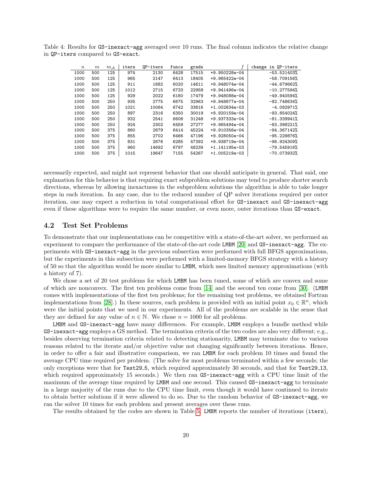| $\boldsymbol{n}$ | $_{m}$ | $m_A$ | iters | OP-iters | funcs | grads |                 | in QP-iters<br>change |
|------------------|--------|-------|-------|----------|-------|-------|-----------------|-----------------------|
| 1000             | 500    | 125   | 974   | 2130     | 6428  | 17515 | +9.950228e-04   | $-53.521403%$         |
| 1000             | 500    | 125   | 965   | 2147     | 6413  | 18405 | $+9.965422e-04$ | $-58.709156%$         |
| 1000             | 500    | 125   | 911   | 1682     | 6020  | 14611 | +9.948074e-04   | $-44.679662%$         |
| 1000             | 500    | 125   | 1012  | 2715     | 6733  | 22958 | $+9.941496e-04$ | $-10.277594%$         |
| 1000             | 500    | 125   | 929   | 2022     | 6180  | 17479 | +9.948088e-04   | $-49.940594%$         |
| 1000             | 500    | 250   | 935   | 2775     | 6675  | 32963 | +9.948877e-04   | $-82.748634%$         |
| 1000             | 500    | 250   | 1021  | 10064    | 6742  | 33816 | $+1.002834e-03$ | $-4.092971%$          |
| 1000             | 500    | 250   | 897   | 2316     | 6350  | 30019 | $+9.920159e-04$ | $-93.854024%$         |
| 1000             | 500    | 250   | 932   | 2541     | 6608  | 31248 | +9.937333e-04   | $-81.339941%$         |
| 1000             | 500    | 250   | 924   | 2302     | 6459  | 27277 | $+9.965494e-04$ | $-83.398221%$         |
| 1000             | 500    | 375   | 860   | 2679     | 6414  | 45224 | +9.910356e-04   | $-94.367142%$         |
| 1000             | 500    | 375   | 855   | 2702     | 6466  | 47196 | $+9.928050e-04$ | $-95.229876%$         |
| 1000             | 500    | 375   | 831   | 2676     | 6285  | 47392 | +9.938719e-04   | $-96.924309%$         |
| 1000             | 500    | 375   | 960   | 14692    | 6797  | 48239 | +1.141195e-03   | $-79.545916%$         |
| 1000             | 500    | 375   | 1015  | 19647    | 7155  | 54267 | $+1.005219e-03$ | $-70.073932%$         |

<span id="page-19-0"></span>Table 4: Results for GS-inexact-agg averaged over 10 runs. The final column indicates the relative change in QP-iters compared to GS-exact.

necessarily expected, and might not represent behavior that one should anticipate in general. That said, one explanation for this behavior is that requiring exact subproblem solutions may tend to produce shorter search directions, whereas by allowing inexactness in the subproblem solutions the algorithm is able to take longer steps in each iteration. In any case, due to the reduced number of QP solver iterations required per outer iteration, one may expect a reduction in total computational effort for GS-inexact and GS-inexact-agg even if these algorithms were to require the same number, or even more, outer iterations than GS-exact.

#### 4.2 Test Set Problems

To demonstrate that our implementations can be competitive with a state-of-the-art solver, we performed an experiment to compare the performance of the state-of-the-art code LMBM [\[20\]](#page-21-19) and GS-inexact-agg. The experiments with GS-inexact-agg in the previous subsection were performed with full BFGS approximations, but the experiments in this subsection were performed with a limited-memory BFGS strategy with a history of 50 so that the algorithm would be more similar to LMBM, which uses limited memory approximations (with a history of 7).

We chose a set of 20 test problems for which LMBM has been tuned, some of which are convex and some of which are nonconvex. The first ten problems come from [\[14\]](#page-21-11) and the second ten come from [\[30\]](#page-22-10). (LMBM comes with implementations of the first ten problems; for the remaining test problems, we obtained Fortran implementations from [\[28\]](#page-22-11).) In these sources, each problem is provided with an initial point  $x_0 \in \mathbb{R}^n$ , which were the initial points that we used in our experiments. All of the problems are scalable in the sense that they are defined for any value of  $n \in \mathbb{N}$ . We chose  $n = 1000$  for all problems.

LMBM and GS-inexact-agg have many differences. For example, LMBM employs a bundle method while GS-inexact-agg employs a GS method. The termination criteria of the two codes are also very different; e.g., besides observing termination criteria related to detecting stationarity, LMBM may terminate due to various reasons related to the iterate and/or objective value not changing significantly between iterations. Hence, in order to offer a fair and illustrative comparison, we ran LMBM for each problem 10 times and found the average CPU time required per problem. (The solve for most problems terminated within a few seconds; the only exceptions were that for Test29 5, which required approximately 30 seconds, and that for Test29 13, which required approximately 15 seconds.) We then ran GS-inexact-agg with a CPU time limit of the maximum of the average time required by LMBM and one second. This caused GS-inexact-agg to terminate in a large majority of the runs due to the CPU time limit, even though it would have continued to iterate to obtain better solutions if it were allowed to do so. Due to the random behavior of GS-inexact-agg, we ran the solver 10 times for each problem and present averages over these runs.

The results obtained by the codes are shown in Table [5.](#page-20-5) LMBM reports the number of iterations (iters),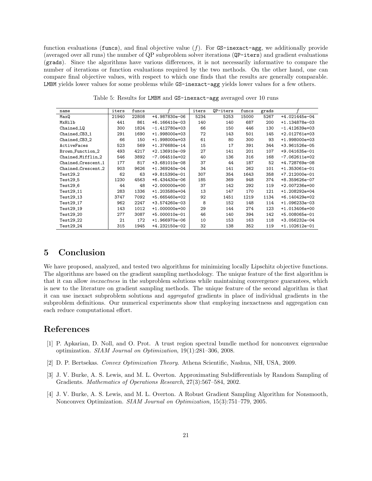function evaluations (funcs), and final objective value  $(f)$ . For GS-inexact-agg, we additionally provide (averaged over all runs) the number of QP subproblem solver iterations (QP-iters) and gradient evaluations (grads). Since the algorithms have various differences, it is not necessarily informative to compare the number of iterations or function evaluations required by the two methods. On the other hand, one can compare final objective values, with respect to which one finds that the results are generally comparable. LMBM yields lower values for some problems while GS-inexact-agg yields lower values for a few others.

<span id="page-20-5"></span>

| name                  | iters | funcs |                 | iters | QP-iters | funcs | grads |                 |
|-----------------------|-------|-------|-----------------|-------|----------|-------|-------|-----------------|
| MaxQ                  | 21940 | 22808 | +4.987830e-06   | 5234  | 5253     | 15000 | 5267  | +4.021445e-04   |
| MxHilb                | 441   | 861   | $+6.166410e-03$ | 140   | 140      | 687   | 200   | +1.134878e-03   |
| Chained_LQ            | 300   | 1824  | $-1.412780e+03$ | 66    | 150      | 446   | 130   | $-1.412639e+03$ |
| Chained CB3 1         | 291   | 1690  | $+1.998000e+03$ | 72    | 143      | 501   | 145   | +2.012761e+03   |
| Chained_CB3_2         | 66    | 150   | +1.998000e+03   | 61    | 80       | 300   | 93    | +1.998000e+03   |
| ActiveFaces           | 523   | 569   | $+1.376680e-14$ | 15    | 17       | 391   | 344   | +3.961526e-05   |
| Brown_Function_2      | 493   | 4217  | $+2.136910e-09$ | 27    | 141      | 201   | 107   | +9.041635e-01   |
| Chained_Mifflin_2     | 546   | 3892  | $-7.064510e+02$ | 40    | 136      | 316   | 168   | $-7.062611e+02$ |
| Chained_Crescent_1    | 177   | 817   | +3.681010e-08   | 37    | 44       | 187   | 52    | +4.728769e-08   |
| Chained_Crescent_2    | 903   | 9626  | $+1.369240e-04$ | 34    | 141      | 262   | 101   | +1.353061e-01   |
| $Test29-2$            | 62    | 63    | $+9.815390e-01$ | 307   | 354      | 1643  | 358   | +7.212000e-01   |
| Test29 <sub>-5</sub>  | 1230  | 4563  | $+6.434430e-06$ | 185   | 369      | 948   | 374   | +8.359626e-07   |
| Test29 <sub>_6</sub>  | 44    | 48    | +2.000000e+00   | 37    | 142      | 292   | 119   | +2.007236e+00   |
| Test29_11             | 283   | 1336  | +1.203580e+04   | 13    | 147      | 170   | 121   | +1.208292e+04   |
| Test29 <sub>-13</sub> | 3747  | 7092  | $+5.665460e+02$ | 92    | 1451     | 1219  | 1134  | +6.140429e+02   |
| Test29 <sub>-17</sub> | 962   | 2247  | +3.574260e-03   | 8     | 152      | 148   | 114   | +1.096233e-03   |
| Test29_19             | 143   | 1012  | +1.000000e+00   | 29    | 144      | 274   | 123   | +1.013406e+00   |
| Test29_20             | 277   | 3087  | +5.000010e-01   | 46    | 140      | 394   | 142   | +5.008065e-01   |
| $Test29-22$           | 21    | 172   | $+1.966970e-06$ | 10    | 153      | 163   | 118   | +3.056232e-04   |
| Test29 <sub>-24</sub> | 315   | 1945  | +4.232150e-02   | 32    | 138      | 352   | 119   | +1.102612e-01   |

Table 5: Results for LMBM and GS-inexact-agg averaged over 10 runs

## <span id="page-20-3"></span>5 Conclusion

We have proposed, analyzed, and tested two algorithms for minimizing locally Lipschitz objective functions. The algorithms are based on the gradient sampling methodology. The unique feature of the first algorithm is that it can allow *inexactness* in the subproblem solutions while maintaining convergence guarantees, which is new to the literature on gradient sampling methods. The unique feature of the second algorithm is that it can use inexact subproblem solutions and aggregated gradients in place of individual gradients in the subproblem definitions. Our numerical experiments show that employing inexactness and aggregation can each reduce computational effort.

## References

- <span id="page-20-2"></span>[1] P. Apkarian, D. Noll, and O. Prot. A trust region spectral bundle method for nonconvex eigenvalue optimization. SIAM Journal on Optimization, 19(1):281–306, 2008.
- <span id="page-20-4"></span>[2] D. P. Bertsekas. Convex Optimization Theory. Athena Scientific, Nashua, NH, USA, 2009.
- <span id="page-20-1"></span>[3] J. V. Burke, A. S. Lewis, and M. L. Overton. Approximating Subdifferentials by Random Sampling of Gradients. Mathematics of Operations Research, 27(3):567–584, 2002.
- <span id="page-20-0"></span>[4] J. V. Burke, A. S. Lewis, and M. L. Overton. A Robust Gradient Sampling Algorithm for Nonsmooth, Nonconvex Optimization. SIAM Journal on Optimization, 15(3):751–779, 2005.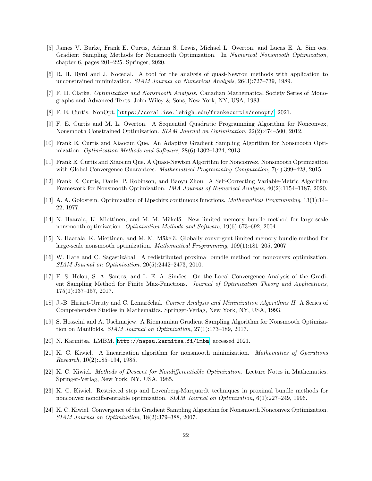- <span id="page-21-7"></span>[5] James V. Burke, Frank E. Curtis, Adrian S. Lewis, Michael L. Overton, and Lucas E. A. Sim oes. Gradient Sampling Methods for Nonsmooth Optimization. In Numerical Nonsmooth Optimization, chapter 6, pages 201–225. Springer, 2020.
- <span id="page-21-17"></span>[6] R. H. Byrd and J. Nocedal. A tool for the analysis of quasi-Newton methods with application to unconstrained minimization. SIAM Journal on Numerical Analysis, 26(3):727–739, 1989.
- <span id="page-21-15"></span>[7] F. H. Clarke. Optimization and Nonsmooth Analysis. Canadian Mathematical Society Series of Monographs and Advanced Texts. John Wiley & Sons, New York, NY, USA, 1983.
- <span id="page-21-18"></span>[8] F. E. Curtis. NonOpt. <https://coral.ise.lehigh.edu/frankecurtis/nonopt/>, 2021.
- <span id="page-21-5"></span>[9] F. E. Curtis and M. L. Overton. A Sequential Quadratic Programming Algorithm for Nonconvex, Nonsmooth Constrained Optimization. SIAM Journal on Optimization, 22(2):474–500, 2012.
- <span id="page-21-1"></span>[10] Frank E. Curtis and Xiaocun Que. An Adaptive Gradient Sampling Algorithm for Nonsmooth Optimization. Optimization Methods and Software, 28(6):1302–1324, 2013.
- <span id="page-21-2"></span>[11] Frank E. Curtis and Xiaocun Que. A Quasi-Newton Algorithm for Nonconvex, Nonsmooth Optimization with Global Convergence Guarantees. Mathematical Programming Computation, 7(4):399–428, 2015.
- <span id="page-21-3"></span>[12] Frank E. Curtis, Daniel P. Robinson, and Baoyu Zhou. A Self-Correcting Variable-Metric Algorithm Framework for Nonsmooth Optimization. IMA Journal of Numerical Analysis, 40(2):1154–1187, 2020.
- <span id="page-21-16"></span>[13] A. A. Goldstein. Optimization of Lipschitz continuous functions. Mathematical Programming, 13(1):14– 22, 1977.
- <span id="page-21-11"></span>[14] N. Haarala, K. Miettinen, and M. M. Mäkelä. New limited memory bundle method for large-scale nonsmooth optimization. Optimization Methods and Software, 19(6):673–692, 2004.
- <span id="page-21-12"></span>[15] N. Haarala, K. Miettinen, and M. M. Mäkelä. Globally convergent limited memory bundle method for large-scale nonsmooth optimization. Mathematical Programming, 109(1):181–205, 2007.
- <span id="page-21-13"></span>[16] W. Hare and C. Sagastiz´abal. A redistributed proximal bundle method for nonconvex optimization. SIAM Journal on Optimization, 20(5):2442–2473, 2010.
- <span id="page-21-4"></span>[17] E. S. Helou, S. A. Santos, and L. E. A. Simões. On the Local Convergence Analysis of the Gradient Sampling Method for Finite Max-Functions. Journal of Optimization Theory and Applications, 175(1):137–157, 2017.
- <span id="page-21-14"></span>[18] J.-B. Hiriart-Urruty and C. Lemaréchal. *Convex Analysis and Minimization Algorithms II*. A Series of Comprehensive Studies in Mathematics. Springer-Verlag, New York, NY, USA, 1993.
- <span id="page-21-6"></span>[19] S. Hosseini and A. Uschmajew. A Riemannian Gradient Sampling Algorithm for Nonsmooth Optimization on Manifolds. SIAM Journal on Optimization, 27(1):173–189, 2017.
- <span id="page-21-19"></span>[20] N. Karmitsa. LMBM. <http://napsu.karmitsa.fi/lmbm>, accessed 2021.
- <span id="page-21-8"></span>[21] K. C. Kiwiel. A linearization algorithm for nonsmooth minimization. Mathematics of Operations Research, 10(2):185–194, 1985.
- <span id="page-21-9"></span>[22] K. C. Kiwiel. Methods of Descent for Nondifferentiable Optimization. Lecture Notes in Mathematics. Springer-Verlag, New York, NY, USA, 1985.
- <span id="page-21-10"></span>[23] K. C. Kiwiel. Restricted step and Levenberg-Marquardt techniques in proximal bundle methods for nonconvex nondifferentiable optimization. SIAM Journal on Optimization, 6(1):227–249, 1996.
- <span id="page-21-0"></span>[24] K. C. Kiwiel. Convergence of the Gradient Sampling Algorithm for Nonsmooth Nonconvex Optimization. SIAM Journal on Optimization, 18(2):379–388, 2007.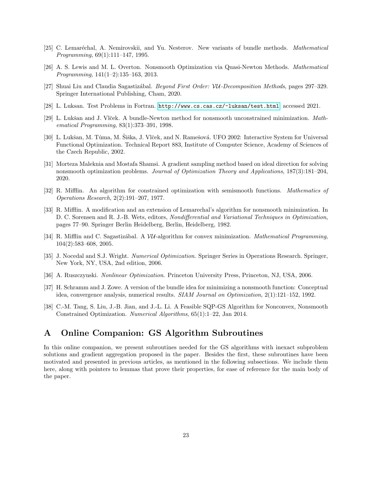- <span id="page-22-2"></span>[25] C. Lemaréchal, A. Nemirovskii, and Yu. Nesterov. New variants of bundle methods. *Mathematical* Programming, 69(1):111–147, 1995.
- <span id="page-22-12"></span>[26] A. S. Lewis and M. L. Overton. Nonsmooth Optimization via Quasi-Newton Methods. Mathematical Programming, 141(1–2):135–163, 2013.
- <span id="page-22-9"></span>[27] Shuai Liu and Claudia Sagastizábal. Beyond First Order: VU-Decomposition Methods, pages 297–329. Springer International Publishing, Cham, 2020.
- <span id="page-22-11"></span>[28] L. Luksan. Test Problems in Fortran. <http://www.cs.cas.cz/~luksan/test.html>, accessed 2021.
- <span id="page-22-3"></span>[29] L. Lukšan and J. Vlček. A bundle-Newton method for nonsmooth unconstrained minimization. Mathematical Programming, 83(1):373–391, 1998.
- <span id="page-22-10"></span>[30] L. Lukšan, M. Tuma, M. Šiška, J. Vlček, and N. Ramešová. UFO 2002: Interactive System for Universal Functional Optimization. Technical Report 883, Institute of Computer Science, Academy of Sciences of the Czech Republic, 2002.
- <span id="page-22-0"></span>[31] Morteza Maleknia and Mostafa Shamsi. A gradient sampling method based on ideal direction for solving nonsmooth optimization problems. Journal of Optimization Theory and Applications, 187(3):181–204, 2020.
- <span id="page-22-13"></span>[32] R. Mifflin. An algorithm for constrained optimization with semismooth functions. Mathematics of Operations Research, 2(2):191–207, 1977.
- <span id="page-22-4"></span>[33] R. Mifflin. A modification and an extension of Lemarechal's algorithm for nonsmooth minimization. In D. C. Sorensen and R. J.-B. Wets, editors, Nondifferential and Variational Techniques in Optimization, pages 77–90. Springer Berlin Heidelberg, Berlin, Heidelberg, 1982.
- <span id="page-22-5"></span>[34] R. Mifflin and C. Sagastizábal. A VU-algorithm for convex minimization. Mathematical Programming, 104(2):583–608, 2005.
- <span id="page-22-8"></span>[35] J. Nocedal and S.J. Wright. *Numerical Optimization*. Springer Series in Operations Research. Springer, New York, NY, USA, 2nd edition, 2006.
- <span id="page-22-6"></span>[36] A. Ruszczynski. Nonlinear Optimization. Princeton University Press, Princeton, NJ, USA, 2006.
- <span id="page-22-7"></span>[37] H. Schramm and J. Zowe. A version of the bundle idea for minimizing a nonsmooth function: Conceptual idea, convergence analysis, numerical results. SIAM Journal on Optimization, 2(1):121–152, 1992.
- <span id="page-22-1"></span>[38] C.-M. Tang, S. Liu, J.-B. Jian, and J.-L. Li. A Feasible SQP-GS Algorithm for Nonconvex, Nonsmooth Constrained Optimization. Numerical Algorithms, 65(1):1–22, Jan 2014.

## A Online Companion: GS Algorithm Subroutines

In this online companion, we present subroutines needed for the GS algorithms with inexact subproblem solutions and gradient aggregation proposed in the paper. Besides the first, these subroutines have been motivated and presented in previous articles, as mentioned in the following subsections. We include them here, along with pointers to lemmas that prove their properties, for ease of reference for the main body of the paper.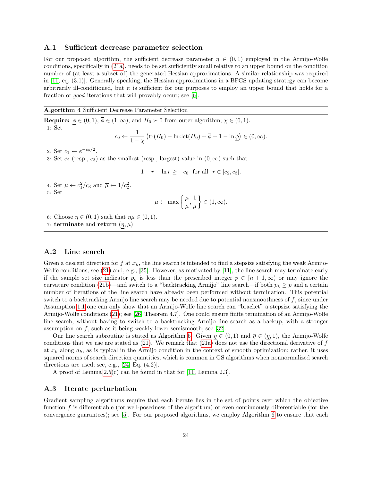#### A.1 Sufficient decrease parameter selection

For our proposed algorithm, the sufficient decrease parameter  $\eta \in (0,1)$  employed in the Armijo-Wolfe conditions, specifically in [\(21a\)](#page-9-1), needs to be set sufficiently small relative to an upper bound on the condition number of (at least a subset of) the generated Hessian approximations. A similar relationship was required in [\[11,](#page-21-2) eq. (3.1)]. Generally speaking, the Hessian approximations in a BFGS updating strategy can become arbitrarily ill-conditioned, but it is sufficient for our purposes to employ an upper bound that holds for a fraction of good iterations that will provably occur; see [\[6\]](#page-21-17).

#### <span id="page-23-0"></span>Algorithm 4 Sufficient Decrease Parameter Selection

**Require:**  $\phi \in (0,1)$ ,  $\overline{\phi} \in (1,\infty)$ , and  $H_0 \succ 0$  from outer algorithm;  $\chi \in (0,1)$ . 1: Set  $c_0$ 1

$$
\phi
$$
  $\leftarrow$   $\frac{1}{1-\chi}$  (tr(*H*<sub>0</sub>) – ln det(*H*<sub>0</sub>) +  $\overline{\phi}$  – 1 – ln  $\underline{\phi}$ )  $\in$  (0,  $\infty$ ).

2: Set  $c_1 \leftarrow e^{-c_0/2}$ .

3: Set  $c_2$  (resp.,  $c_3$ ) as the smallest (resp., largest) value in  $(0, \infty)$  such that

$$
1 - r + \ln r \ge -c_0
$$
 for all  $r \in [c_2, c_3]$ .

4: Set  $\underline{\mu} \leftarrow c_1^2/c_3$  and  $\overline{\mu} \leftarrow 1/c_2^2$ . 5: Set

$$
\mu \leftarrow \max \left\{\frac{\overline{\mu}}{\underline{\mu}}, \frac{1}{\underline{\mu}} \right\} \in (1, \infty).
$$

6: Choose  $\eta \in (0,1)$  such that  $\eta \mu \in (0,1)$ .

7: terminate and return  $(\eta, \mu)$ 

#### A.2 Line search

Given a descent direction for f at  $x_k$ , the line search is intended to find a stepsize satisfying the weak Armijo-Wolfe conditions; see [\(21\)](#page-9-6) and, e.g., [\[35\]](#page-22-8). However, as motivated by [\[11\]](#page-21-2), the line search may terminate early if the sample set size indicator  $p_k$  is less than the prescribed integer  $p \in [n+1,\infty)$  or may ignore the curvature condition [\(21b\)](#page-9-7)—and switch to a "backtracking Armijo" line search—if both  $p_k \geq p$  and a certain number of iterations of the line search have already been performed without termination. This potential switch to a backtracking Armijo line search may be needed due to potential nonsmoothness of f, since under Assumption [1.1](#page-3-0) one can only show that an Armijo-Wolfe line search can "bracket" a stepsize satisfying the Armijo-Wolfe conditions [\(21\)](#page-9-6); see [\[26,](#page-22-12) Theorem 4.7]. One could ensure finite termination of an Armijo-Wolfe line search, without having to switch to a backtracking Armijo line search as a backup, with a stronger assumption on  $f$ , such as it being weakly lower semismooth; see [\[32\]](#page-22-13).

Our line search subroutine is stated as Algorithm [5.](#page-24-0) Given  $\eta \in (0,1)$  and  $\overline{\eta} \in (\eta,1)$ , the Armijo-Wolfe conditions that we use are stated as  $(21)$ . We remark that  $(21a)$  does not use the directional derivative of f at  $x_k$  along  $d_k$ , as is typical in the Armijo condition in the context of smooth optimization; rather, it uses squared norms of search direction quantities, which is common in GS algorithms when nonnormalized search directions are used; see, e.g.,  $[24, Eq. (4.2)].$  $[24, Eq. (4.2)].$ 

A proof of Lemma [2.5\(](#page-9-4)c) can be found in that for [\[11,](#page-21-2) Lemma 2.3].

#### A.3 Iterate perturbation

Gradient sampling algorithms require that each iterate lies in the set of points over which the objective function  $f$  is differentiable (for well-posedness of the algorithm) or even continuously differentiable (for the convergence guarantees); see [\[5\]](#page-21-7). For our proposed algorithms, we employ Algorithm [6](#page-25-0) to ensure that each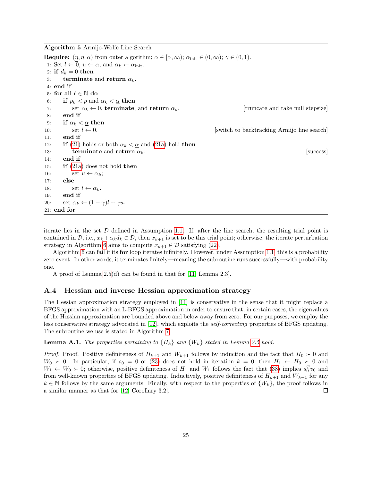<span id="page-24-0"></span>Algorithm 5 Armijo-Wolfe Line Search

**Require:**  $(\eta, \overline{\eta}, \underline{\alpha})$  from outer algorithm;  $\overline{\alpha} \in [\underline{\alpha}, \infty)$ ;  $\alpha_{\text{init}} \in (0, \infty)$ ;  $\gamma \in (0, 1)$ . 1: Set  $l \leftarrow 0$ ,  $u \leftarrow \overline{\alpha}$ , and  $\alpha_k \leftarrow \alpha_{\text{init}}$ . 2: if  $d_k = 0$  then 3: terminate and return  $\alpha_k$ . 4: end if 5: for all  $\ell \in \mathbb{N}$  do 6: if  $p_k < p$  and  $\alpha_k < \underline{\alpha}$  then 7: set  $\alpha_k \leftarrow 0$ , terminate, and return  $\alpha_k$ . [truncate and take null stepsize] 8: end if 9: if  $\alpha_k < \alpha$  then 10: set  $l \leftarrow 0$ . [switch to backtracking Armijo line search] 11: end if 12: **if** [\(21\)](#page-9-6) holds or both  $\alpha_k < \underline{\alpha}$  and [\(21a\)](#page-9-1) hold **then** 13: terminate and return  $\alpha_k$ . [success] 14: end if 15: if [\(21a\)](#page-9-1) does not hold then 16: set  $u \leftarrow \alpha_k$ ; 17: else 18:  $\qquad \qquad$  set  $l \leftarrow \alpha_k$ . 19: end if 20: set  $\alpha_k \leftarrow (1 - \gamma)l + \gamma u$ . 21: end for

iterate lies in the set  $D$  defined in Assumption [1.1.](#page-3-0) If, after the line search, the resulting trial point is contained in  $\mathcal{D}$ , i.e.,  $x_k + \alpha_k d_k \in \mathcal{D}$ , then  $x_{k+1}$  is set to be this trial point; otherwise, the iterate perturbation strategy in Algorithm [6](#page-25-0) aims to compute  $x_{k+1} \in \mathcal{D}$  satisfying [\(22\)](#page-9-8).

Algorithm [6](#page-25-0) can fail if its for loop iterates infinitely. However, under Assumption [1.1,](#page-3-0) this is a probability zero event. In other words, it terminates finitely—meaning the subroutine runs successfully—with probability one.

A proof of Lemma [2.5\(](#page-9-4)d) can be found in that for [\[11,](#page-21-2) Lemma 2.3].

#### A.4 Hessian and inverse Hessian approximation strategy

The Hessian approximation strategy employed in [\[11\]](#page-21-2) is conservative in the sense that it might replace a BFGS approximation with an L-BFGS approximation in order to ensure that, in certain cases, the eigenvalues of the Hessian approximation are bounded above and below away from zero. For our purposes, we employ the less conservative strategy advocated in [\[12\]](#page-21-3), which exploits the self-correcting properties of BFGS updating. The subroutine we use is stated in Algorithm [7.](#page-26-0)

**Lemma A.1.** The properties pertaining to  ${H_k}$  and  ${W_k}$  stated in Lemma [2.5](#page-9-4) hold.

*Proof.* Proof. Positive definiteness of  $H_{k+1}$  and  $W_{k+1}$  follows by induction and the fact that  $H_0 \succ 0$  and  $W_0 \succ 0$ . In particular, if  $s_0 = 0$  or [\(23\)](#page-9-5) does not hold in iteration  $k = 0$ , then  $H_1 \leftarrow H_0 \succ 0$  and  $W_1 \leftarrow W_0 \succ 0$ ; otherwise, positive definiteness of  $H_1$  and  $W_1$  follows the fact that [\(38\)](#page-26-2) implies  $s_0^T v_0$  and from well-known properties of BFGS updating. Inductively, positive definiteness of  $H_{k+1}$  and  $W_{k+1}$  for any  $k \in \mathbb{N}$  follows by the same arguments. Finally, with respect to the properties of  $\{W_k\}$ , the proof follows in a similar manner as that for [\[12,](#page-21-3) Corollary 3.2].  $\Box$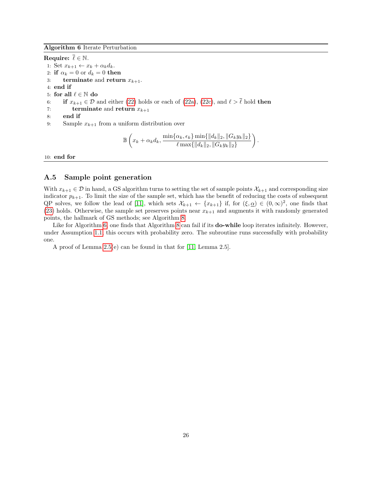#### <span id="page-25-0"></span>Algorithm 6 Iterate Perturbation

Require:  $\bar{\ell} \in \mathbb{N}$ . 1: Set  $x_{k+1} \leftarrow x_k + \alpha_k d_k$ . 2: if  $\alpha_k = 0$  or  $d_k = 0$  then 3: terminate and return  $x_{k+1}$ . 4: end if 5: for all  $\ell \in \mathbb{N}$  do 6: if  $x_{k+1} \in \mathcal{D}$  and either [\(22\)](#page-9-8) holds or each of [\(22a\)](#page-9-2), [\(22c\)](#page-9-3), and  $\ell > \overline{\ell}$  hold then 7: terminate and return  $x_{k+1}$ 8: end if 9: Sample  $x_{k+1}$  from a uniform distribution over  $\mathbb{B}\left(x_k+\alpha_k d_k, \frac{\min\{\alpha_k, \epsilon_k\}\min\{\|d_k\|_2, \|G_ky_k\|_2\}}{\max\{\|d_k\|_2, \|G_ky_k\|_2\}}\right)$  $\big).$ 

 $\ell \max\{\|d_k\|_2, \|G_ky_k\|_2\}$ 

10: end for

### A.5 Sample point generation

With  $x_{k+1} \in \mathcal{D}$  in hand, a GS algorithm turns to setting the set of sample points  $\mathcal{X}_{k+1}$  and corresponding size indicator  $p_{k+1}$ . To limit the size of the sample set, which has the benefit of reducing the costs of subsequent QP solves, we follow the lead of [\[11\]](#page-21-2), which sets  $\mathcal{X}_{k+1} \leftarrow \{x_{k+1}\}\$ if, for  $(\xi, \underline{\alpha}) \in (0, \infty)^2$ , one finds that [\(23\)](#page-9-5) holds. Otherwise, the sample set preserves points near  $x_{k+1}$  and augments it with randomly generated points, the hallmark of GS methods; see Algorithm [8.](#page-26-1)

Like for Algorithm [6,](#page-25-0) one finds that Algorithm [8](#page-26-1) can fail if its **do-while** loop iterates infinitely. However, under Assumption [1.1,](#page-3-0) this occurs with probability zero. The subroutine runs successfully with probability one.

A proof of Lemma [2.5\(](#page-9-4)e) can be found in that for [\[11,](#page-21-2) Lemma 2.5].